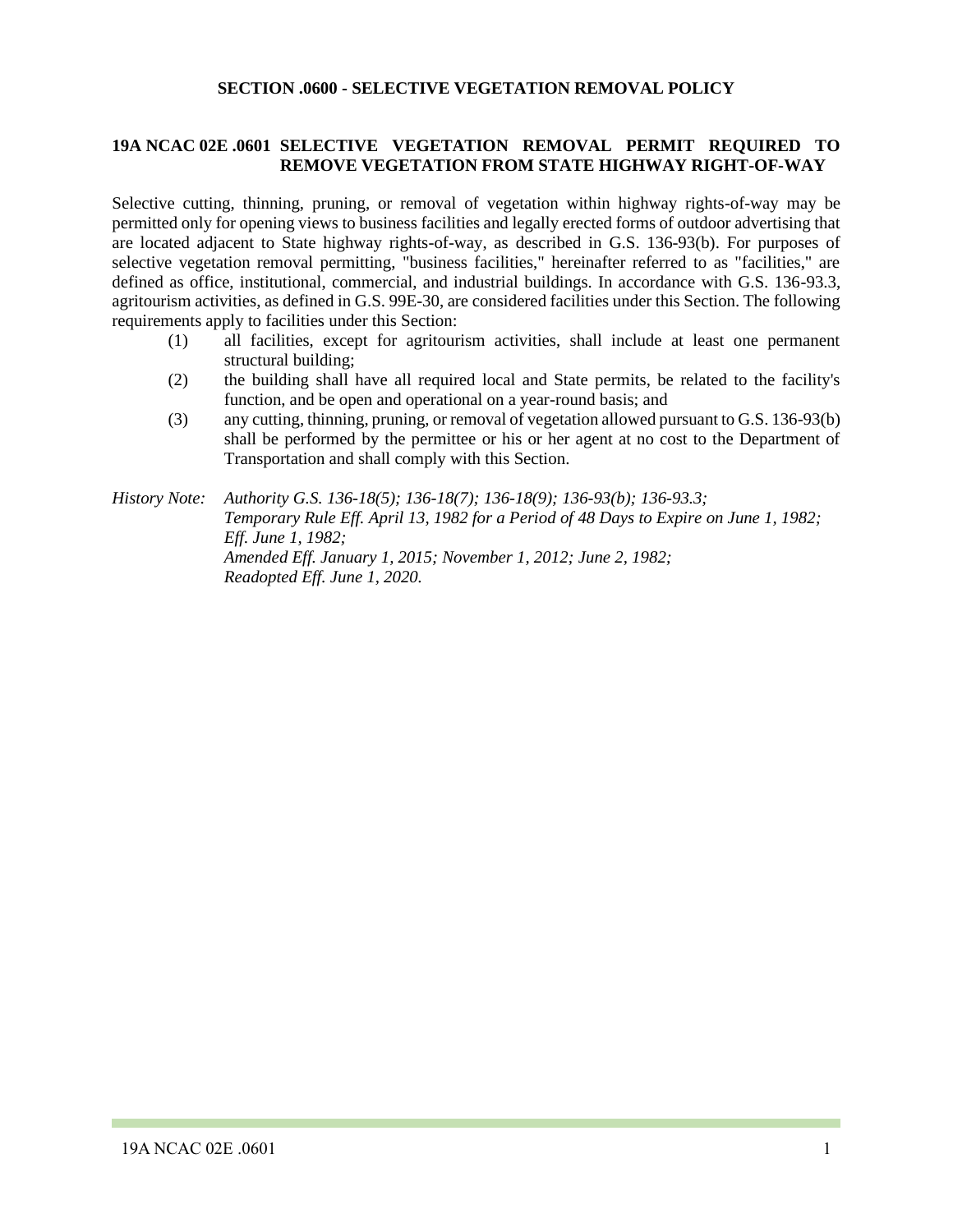#### **SECTION .0600 - SELECTIVE VEGETATION REMOVAL POLICY**

# **19A NCAC 02E .0601 SELECTIVE VEGETATION REMOVAL PERMIT REQUIRED TO REMOVE VEGETATION FROM STATE HIGHWAY RIGHT-OF-WAY**

Selective cutting, thinning, pruning, or removal of vegetation within highway rights-of-way may be permitted only for opening views to business facilities and legally erected forms of outdoor advertising that are located adjacent to State highway rights-of-way, as described in G.S. 136-93(b). For purposes of selective vegetation removal permitting, "business facilities," hereinafter referred to as "facilities," are defined as office, institutional, commercial, and industrial buildings. In accordance with G.S. 136-93.3, agritourism activities, as defined in G.S. 99E-30, are considered facilities under this Section. The following requirements apply to facilities under this Section:

- (1) all facilities, except for agritourism activities, shall include at least one permanent structural building;
- (2) the building shall have all required local and State permits, be related to the facility's function, and be open and operational on a year-round basis; and
- (3) any cutting, thinning, pruning, or removal of vegetation allowed pursuant to G.S. 136-93(b) shall be performed by the permittee or his or her agent at no cost to the Department of Transportation and shall comply with this Section.

*History Note: Authority G.S. 136-18(5); 136-18(7); 136-18(9); 136-93(b); 136-93.3; Temporary Rule Eff. April 13, 1982 for a Period of 48 Days to Expire on June 1, 1982; Eff. June 1, 1982; Amended Eff. January 1, 2015; November 1, 2012; June 2, 1982; Readopted Eff. June 1, 2020.*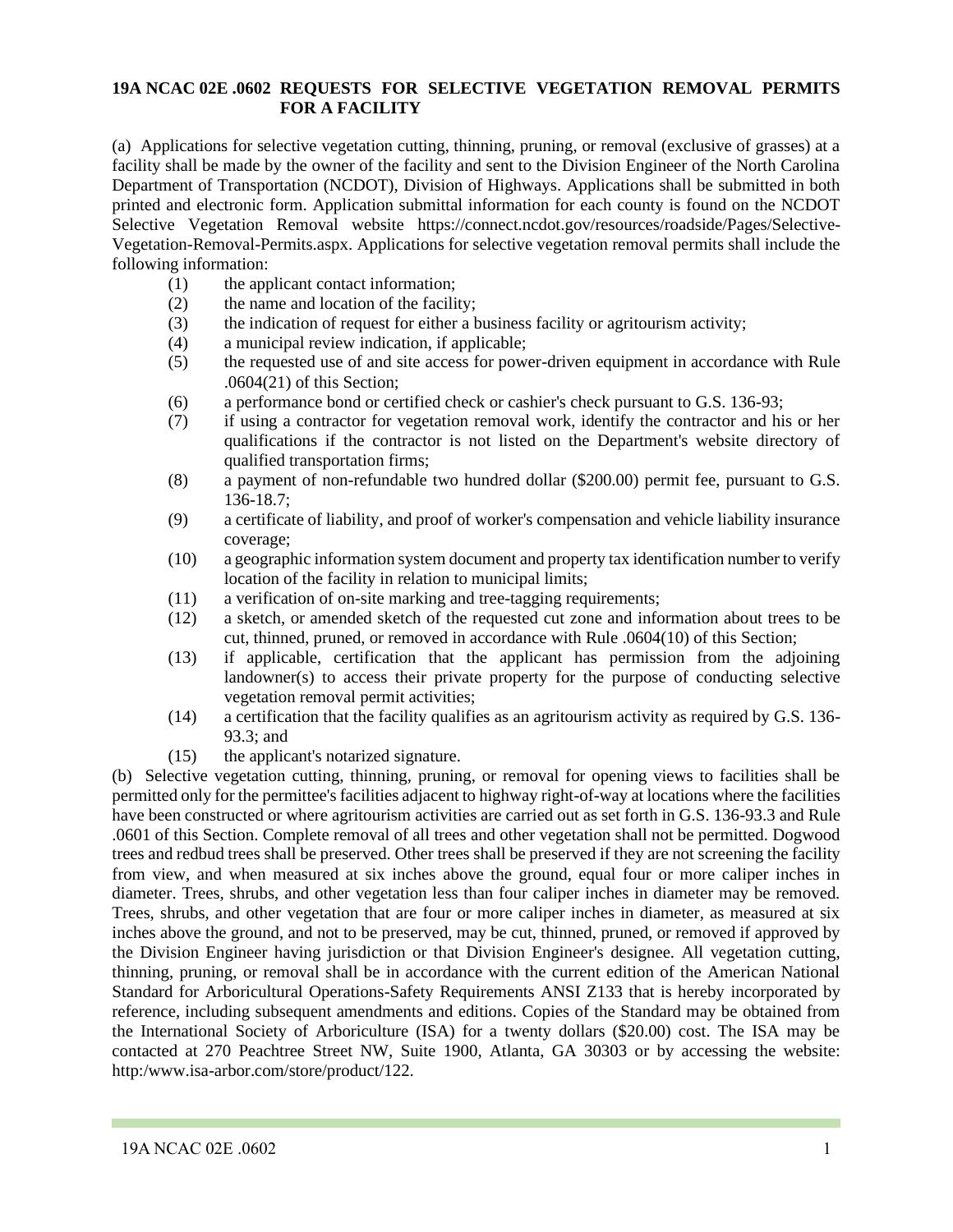## **19A NCAC 02E .0602 REQUESTS FOR SELECTIVE VEGETATION REMOVAL PERMITS FOR A FACILITY**

(a) Applications for selective vegetation cutting, thinning, pruning, or removal (exclusive of grasses) at a facility shall be made by the owner of the facility and sent to the Division Engineer of the North Carolina Department of Transportation (NCDOT), Division of Highways. Applications shall be submitted in both printed and electronic form. Application submittal information for each county is found on the NCDOT Selective Vegetation Removal website https://connect.ncdot.gov/resources/roadside/Pages/Selective-Vegetation-Removal-Permits.aspx. Applications for selective vegetation removal permits shall include the following information:

- (1) the applicant contact information;
- (2) the name and location of the facility;
- (3) the indication of request for either a business facility or agritourism activity;
- (4) a municipal review indication, if applicable;
- (5) the requested use of and site access for power-driven equipment in accordance with Rule .0604(21) of this Section;
- (6) a performance bond or certified check or cashier's check pursuant to G.S. 136-93;
- (7) if using a contractor for vegetation removal work, identify the contractor and his or her qualifications if the contractor is not listed on the Department's website directory of qualified transportation firms;
- (8) a payment of non-refundable two hundred dollar (\$200.00) permit fee, pursuant to G.S. 136-18.7;
- (9) a certificate of liability, and proof of worker's compensation and vehicle liability insurance coverage;
- (10) a geographic information system document and property tax identification number to verify location of the facility in relation to municipal limits;
- (11) a verification of on-site marking and tree-tagging requirements;
- (12) a sketch, or amended sketch of the requested cut zone and information about trees to be cut, thinned, pruned, or removed in accordance with Rule .0604(10) of this Section;
- (13) if applicable, certification that the applicant has permission from the adjoining landowner(s) to access their private property for the purpose of conducting selective vegetation removal permit activities;
- (14) a certification that the facility qualifies as an agritourism activity as required by G.S. 136- 93.3; and
- (15) the applicant's notarized signature.

(b) Selective vegetation cutting, thinning, pruning, or removal for opening views to facilities shall be permitted only for the permittee's facilities adjacent to highway right-of-way at locations where the facilities have been constructed or where agritourism activities are carried out as set forth in G.S. 136-93.3 and Rule .0601 of this Section. Complete removal of all trees and other vegetation shall not be permitted. Dogwood trees and redbud trees shall be preserved. Other trees shall be preserved if they are not screening the facility from view, and when measured at six inches above the ground, equal four or more caliper inches in diameter. Trees, shrubs, and other vegetation less than four caliper inches in diameter may be removed. Trees, shrubs, and other vegetation that are four or more caliper inches in diameter, as measured at six inches above the ground, and not to be preserved, may be cut, thinned, pruned, or removed if approved by the Division Engineer having jurisdiction or that Division Engineer's designee. All vegetation cutting, thinning, pruning, or removal shall be in accordance with the current edition of the American National Standard for Arboricultural Operations-Safety Requirements ANSI Z133 that is hereby incorporated by reference, including subsequent amendments and editions. Copies of the Standard may be obtained from the International Society of Arboriculture (ISA) for a twenty dollars (\$20.00) cost. The ISA may be contacted at 270 Peachtree Street NW, Suite 1900, Atlanta, GA 30303 or by accessing the website: http:/www.isa-arbor.com/store/product/122.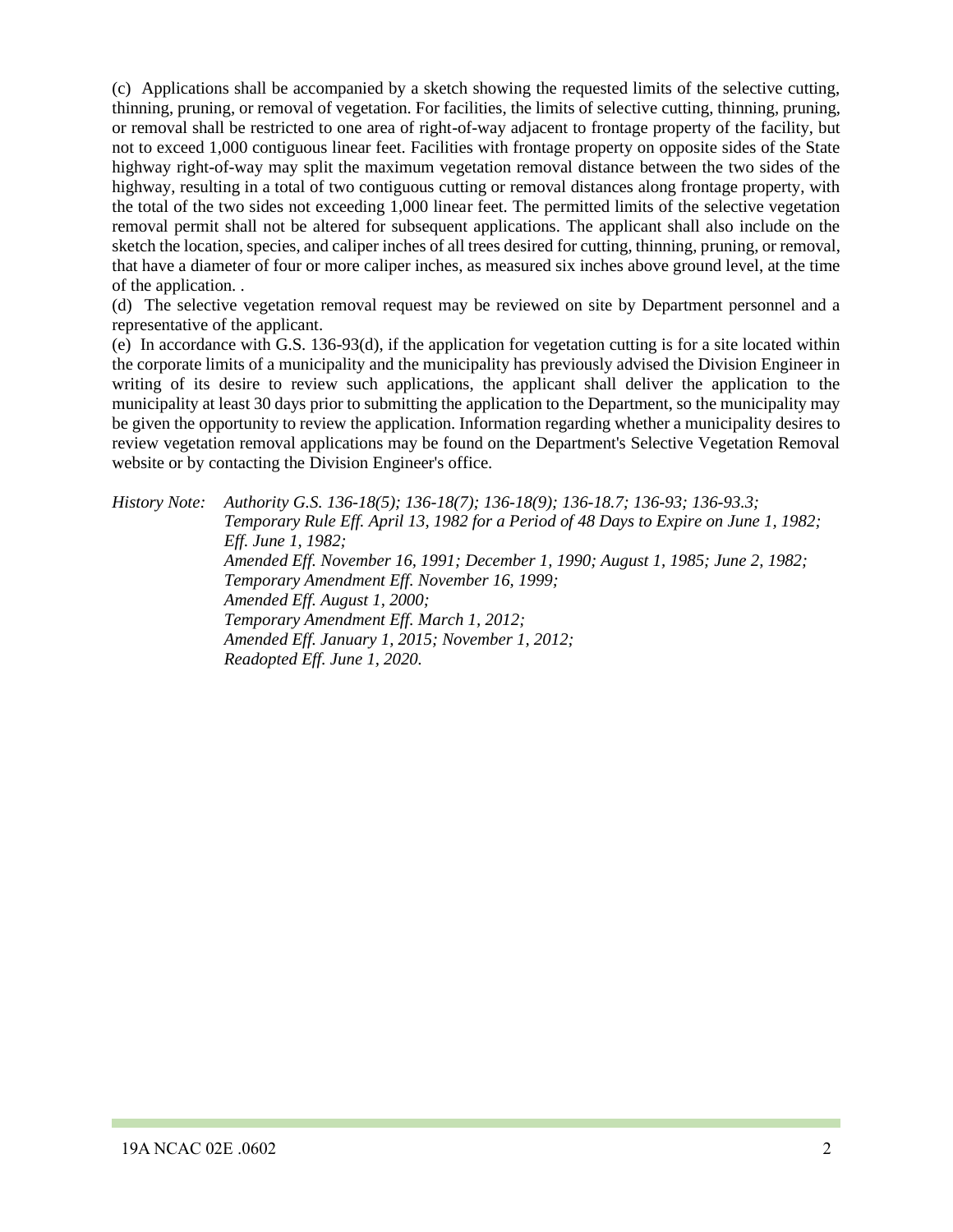(c) Applications shall be accompanied by a sketch showing the requested limits of the selective cutting, thinning, pruning, or removal of vegetation. For facilities, the limits of selective cutting, thinning, pruning, or removal shall be restricted to one area of right-of-way adjacent to frontage property of the facility, but not to exceed 1,000 contiguous linear feet. Facilities with frontage property on opposite sides of the State highway right-of-way may split the maximum vegetation removal distance between the two sides of the highway, resulting in a total of two contiguous cutting or removal distances along frontage property, with the total of the two sides not exceeding 1,000 linear feet. The permitted limits of the selective vegetation removal permit shall not be altered for subsequent applications. The applicant shall also include on the sketch the location, species, and caliper inches of all trees desired for cutting, thinning, pruning, or removal, that have a diameter of four or more caliper inches, as measured six inches above ground level, at the time of the application. .

(d) The selective vegetation removal request may be reviewed on site by Department personnel and a representative of the applicant.

(e) In accordance with G.S. 136-93(d), if the application for vegetation cutting is for a site located within the corporate limits of a municipality and the municipality has previously advised the Division Engineer in writing of its desire to review such applications, the applicant shall deliver the application to the municipality at least 30 days prior to submitting the application to the Department, so the municipality may be given the opportunity to review the application. Information regarding whether a municipality desires to review vegetation removal applications may be found on the Department's Selective Vegetation Removal website or by contacting the Division Engineer's office.

*History Note: Authority G.S. 136-18(5); 136-18(7); 136-18(9); 136-18.7; 136-93; 136-93.3; Temporary Rule Eff. April 13, 1982 for a Period of 48 Days to Expire on June 1, 1982; Eff. June 1, 1982; Amended Eff. November 16, 1991; December 1, 1990; August 1, 1985; June 2, 1982; Temporary Amendment Eff. November 16, 1999; Amended Eff. August 1, 2000; Temporary Amendment Eff. March 1, 2012; Amended Eff. January 1, 2015; November 1, 2012; Readopted Eff. June 1, 2020.*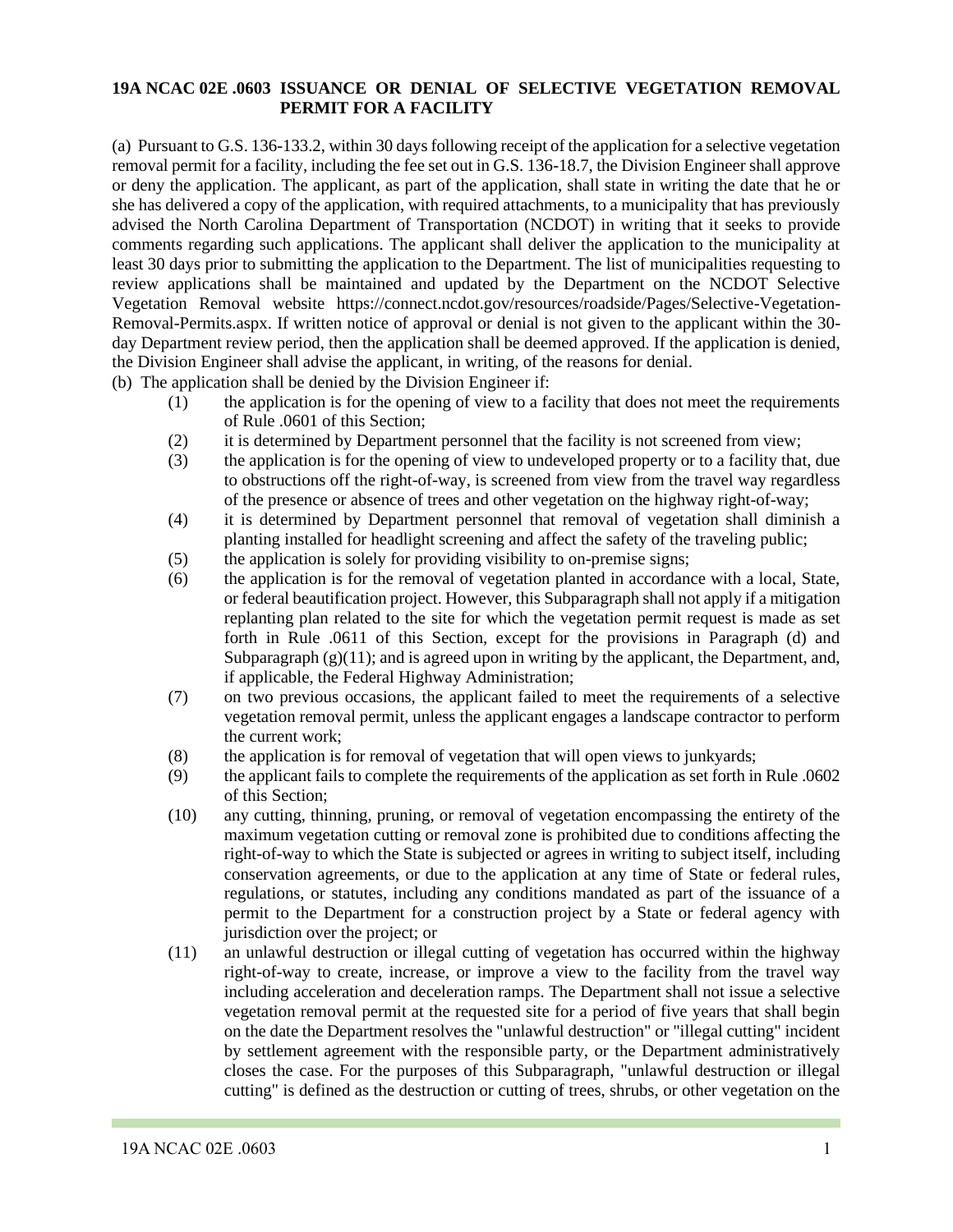## **19A NCAC 02E .0603 ISSUANCE OR DENIAL OF SELECTIVE VEGETATION REMOVAL PERMIT FOR A FACILITY**

(a) Pursuant to G.S. 136-133.2, within 30 days following receipt of the application for a selective vegetation removal permit for a facility, including the fee set out in G.S. 136-18.7, the Division Engineer shall approve or deny the application. The applicant, as part of the application, shall state in writing the date that he or she has delivered a copy of the application, with required attachments, to a municipality that has previously advised the North Carolina Department of Transportation (NCDOT) in writing that it seeks to provide comments regarding such applications. The applicant shall deliver the application to the municipality at least 30 days prior to submitting the application to the Department. The list of municipalities requesting to review applications shall be maintained and updated by the Department on the NCDOT Selective Vegetation Removal website https://connect.ncdot.gov/resources/roadside/Pages/Selective-Vegetation-Removal-Permits.aspx. If written notice of approval or denial is not given to the applicant within the 30 day Department review period, then the application shall be deemed approved. If the application is denied, the Division Engineer shall advise the applicant, in writing, of the reasons for denial.

(b) The application shall be denied by the Division Engineer if:

- (1) the application is for the opening of view to a facility that does not meet the requirements of Rule .0601 of this Section;
- (2) it is determined by Department personnel that the facility is not screened from view;
- (3) the application is for the opening of view to undeveloped property or to a facility that, due to obstructions off the right-of-way, is screened from view from the travel way regardless of the presence or absence of trees and other vegetation on the highway right-of-way;
- (4) it is determined by Department personnel that removal of vegetation shall diminish a planting installed for headlight screening and affect the safety of the traveling public;
- (5) the application is solely for providing visibility to on-premise signs;
- (6) the application is for the removal of vegetation planted in accordance with a local, State, or federal beautification project. However, this Subparagraph shall not apply if a mitigation replanting plan related to the site for which the vegetation permit request is made as set forth in Rule .0611 of this Section, except for the provisions in Paragraph (d) and Subparagraph  $(g)(11)$ ; and is agreed upon in writing by the applicant, the Department, and, if applicable, the Federal Highway Administration;
- (7) on two previous occasions, the applicant failed to meet the requirements of a selective vegetation removal permit, unless the applicant engages a landscape contractor to perform the current work;
- (8) the application is for removal of vegetation that will open views to junkyards;
- (9) the applicant fails to complete the requirements of the application as set forth in Rule .0602 of this Section;
- (10) any cutting, thinning, pruning, or removal of vegetation encompassing the entirety of the maximum vegetation cutting or removal zone is prohibited due to conditions affecting the right-of-way to which the State is subjected or agrees in writing to subject itself, including conservation agreements, or due to the application at any time of State or federal rules, regulations, or statutes, including any conditions mandated as part of the issuance of a permit to the Department for a construction project by a State or federal agency with jurisdiction over the project; or
- (11) an unlawful destruction or illegal cutting of vegetation has occurred within the highway right-of-way to create, increase, or improve a view to the facility from the travel way including acceleration and deceleration ramps. The Department shall not issue a selective vegetation removal permit at the requested site for a period of five years that shall begin on the date the Department resolves the "unlawful destruction" or "illegal cutting" incident by settlement agreement with the responsible party, or the Department administratively closes the case. For the purposes of this Subparagraph, "unlawful destruction or illegal cutting" is defined as the destruction or cutting of trees, shrubs, or other vegetation on the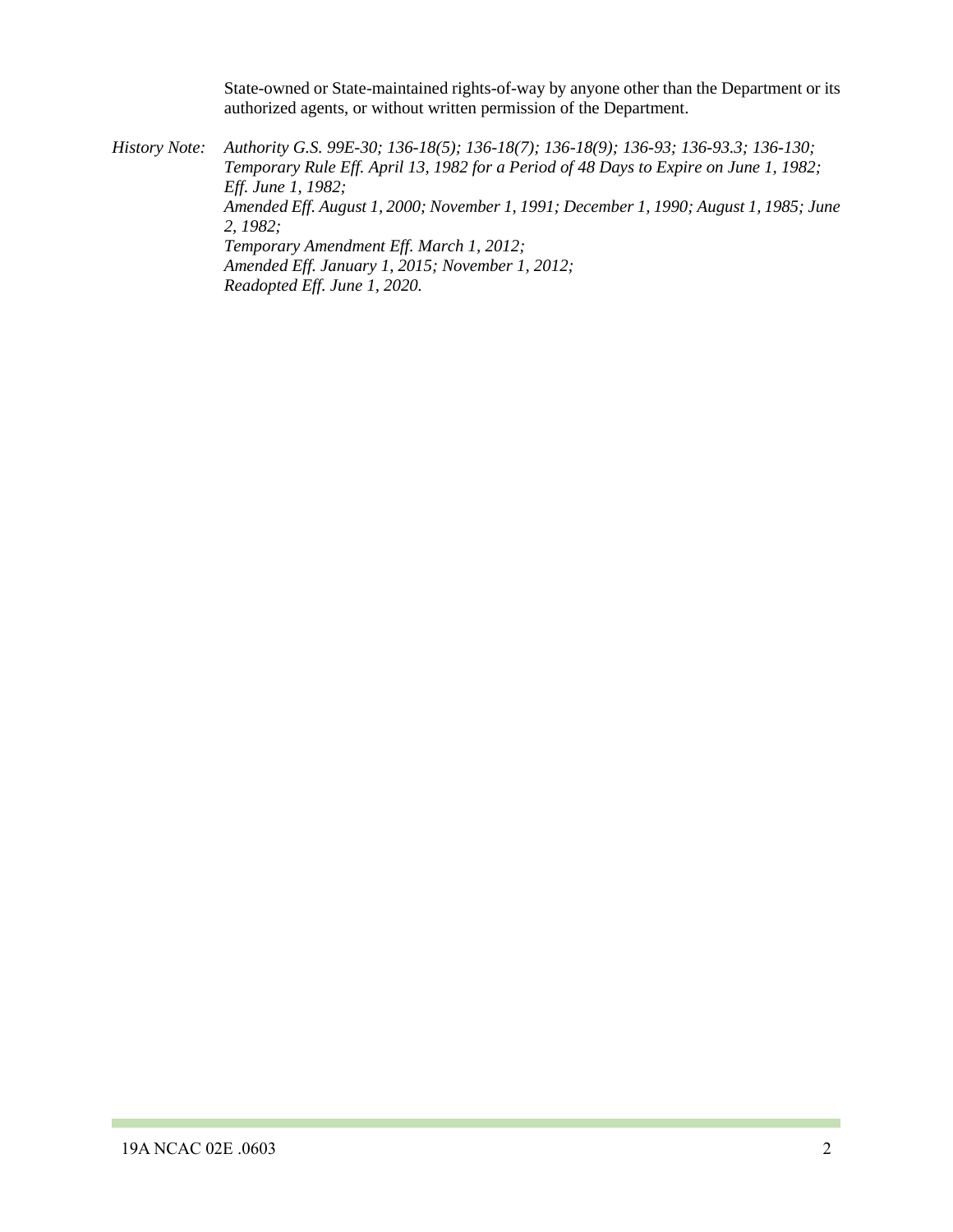State-owned or State-maintained rights-of-way by anyone other than the Department or its authorized agents, or without written permission of the Department.

*History Note: Authority G.S. 99E-30; 136-18(5); 136-18(7); 136-18(9); 136-93; 136-93.3; 136-130; Temporary Rule Eff. April 13, 1982 for a Period of 48 Days to Expire on June 1, 1982; Eff. June 1, 1982; Amended Eff. August 1, 2000; November 1, 1991; December 1, 1990; August 1, 1985; June 2, 1982; Temporary Amendment Eff. March 1, 2012; Amended Eff. January 1, 2015; November 1, 2012; Readopted Eff. June 1, 2020.*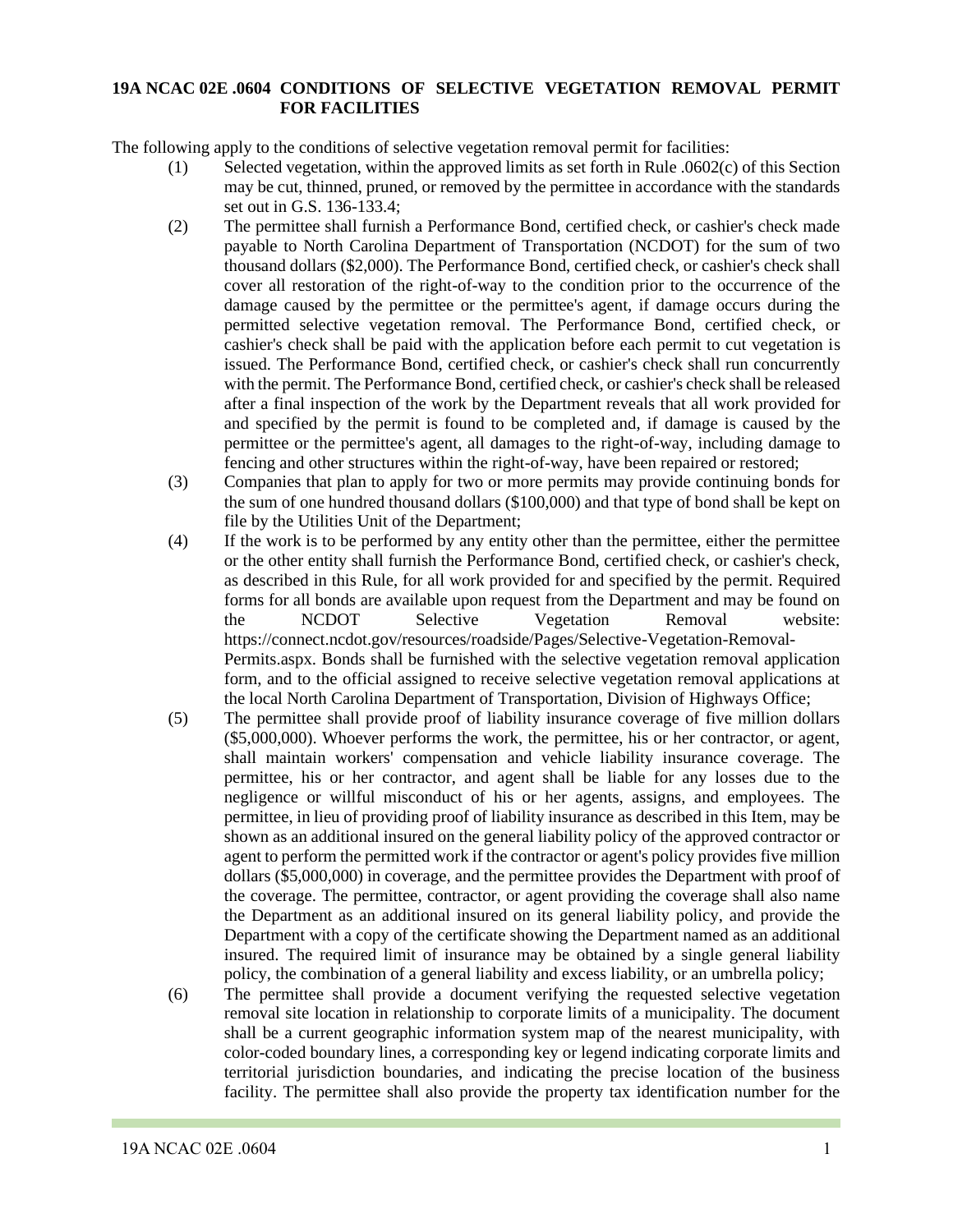### **19A NCAC 02E .0604 CONDITIONS OF SELECTIVE VEGETATION REMOVAL PERMIT FOR FACILITIES**

The following apply to the conditions of selective vegetation removal permit for facilities:

- (1) Selected vegetation, within the approved limits as set forth in Rule .0602(c) of this Section may be cut, thinned, pruned, or removed by the permittee in accordance with the standards set out in G.S. 136-133.4;
- (2) The permittee shall furnish a Performance Bond, certified check, or cashier's check made payable to North Carolina Department of Transportation (NCDOT) for the sum of two thousand dollars (\$2,000). The Performance Bond, certified check, or cashier's check shall cover all restoration of the right-of-way to the condition prior to the occurrence of the damage caused by the permittee or the permittee's agent, if damage occurs during the permitted selective vegetation removal. The Performance Bond, certified check, or cashier's check shall be paid with the application before each permit to cut vegetation is issued. The Performance Bond, certified check, or cashier's check shall run concurrently with the permit. The Performance Bond, certified check, or cashier's check shall be released after a final inspection of the work by the Department reveals that all work provided for and specified by the permit is found to be completed and, if damage is caused by the permittee or the permittee's agent, all damages to the right-of-way, including damage to fencing and other structures within the right-of-way, have been repaired or restored;
- (3) Companies that plan to apply for two or more permits may provide continuing bonds for the sum of one hundred thousand dollars (\$100,000) and that type of bond shall be kept on file by the Utilities Unit of the Department;
- (4) If the work is to be performed by any entity other than the permittee, either the permittee or the other entity shall furnish the Performance Bond, certified check, or cashier's check, as described in this Rule, for all work provided for and specified by the permit. Required forms for all bonds are available upon request from the Department and may be found on the NCDOT Selective Vegetation Removal website: https://connect.ncdot.gov/resources/roadside/Pages/Selective-Vegetation-Removal-Permits.aspx. Bonds shall be furnished with the selective vegetation removal application form, and to the official assigned to receive selective vegetation removal applications at the local North Carolina Department of Transportation, Division of Highways Office;
- (5) The permittee shall provide proof of liability insurance coverage of five million dollars (\$5,000,000). Whoever performs the work, the permittee, his or her contractor, or agent, shall maintain workers' compensation and vehicle liability insurance coverage. The permittee, his or her contractor, and agent shall be liable for any losses due to the negligence or willful misconduct of his or her agents, assigns, and employees. The permittee, in lieu of providing proof of liability insurance as described in this Item, may be shown as an additional insured on the general liability policy of the approved contractor or agent to perform the permitted work if the contractor or agent's policy provides five million dollars (\$5,000,000) in coverage, and the permittee provides the Department with proof of the coverage. The permittee, contractor, or agent providing the coverage shall also name the Department as an additional insured on its general liability policy, and provide the Department with a copy of the certificate showing the Department named as an additional insured. The required limit of insurance may be obtained by a single general liability policy, the combination of a general liability and excess liability, or an umbrella policy;
- (6) The permittee shall provide a document verifying the requested selective vegetation removal site location in relationship to corporate limits of a municipality. The document shall be a current geographic information system map of the nearest municipality, with color-coded boundary lines, a corresponding key or legend indicating corporate limits and territorial jurisdiction boundaries, and indicating the precise location of the business facility. The permittee shall also provide the property tax identification number for the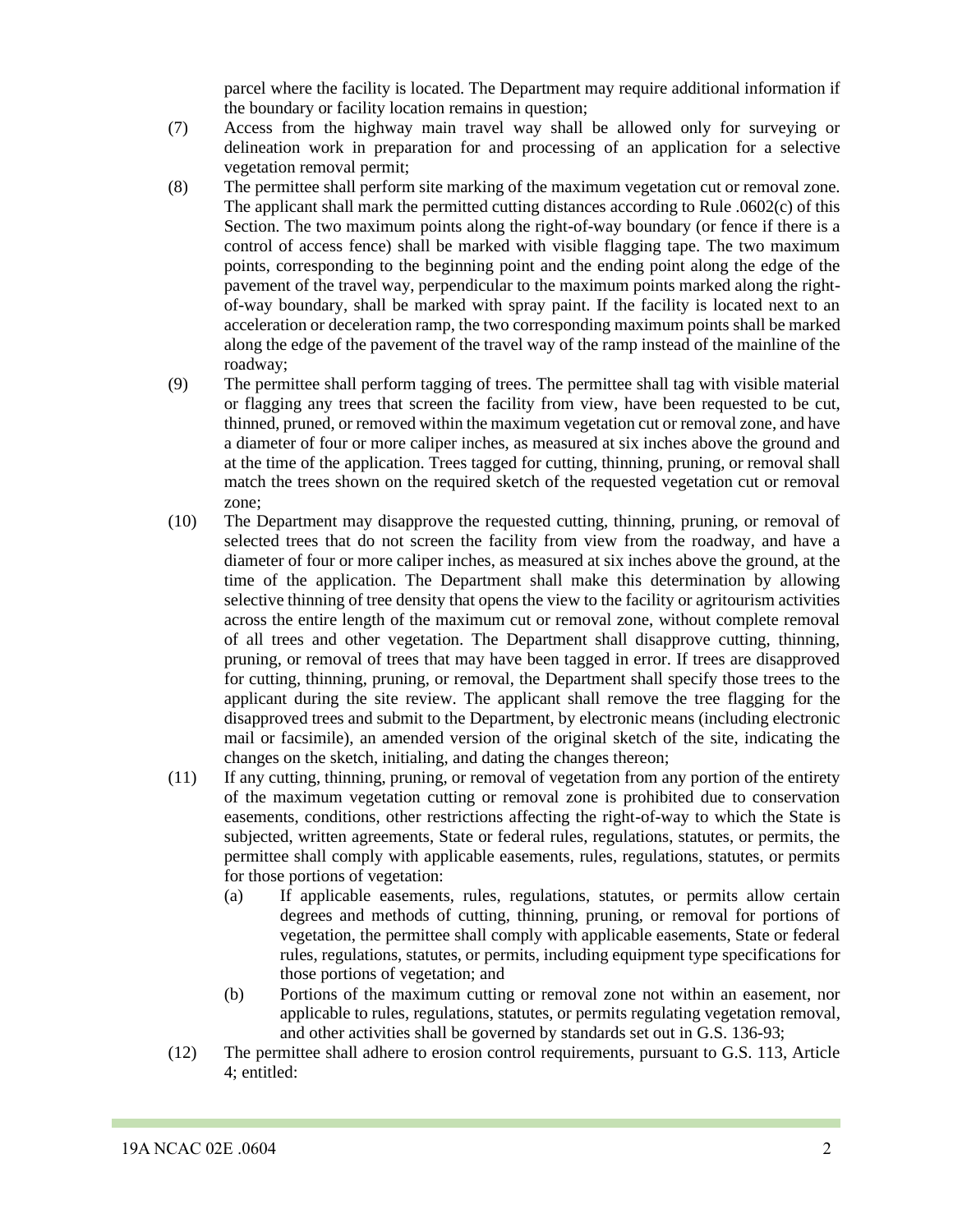parcel where the facility is located. The Department may require additional information if the boundary or facility location remains in question;

- (7) Access from the highway main travel way shall be allowed only for surveying or delineation work in preparation for and processing of an application for a selective vegetation removal permit;
- (8) The permittee shall perform site marking of the maximum vegetation cut or removal zone. The applicant shall mark the permitted cutting distances according to Rule .0602(c) of this Section. The two maximum points along the right-of-way boundary (or fence if there is a control of access fence) shall be marked with visible flagging tape. The two maximum points, corresponding to the beginning point and the ending point along the edge of the pavement of the travel way, perpendicular to the maximum points marked along the rightof-way boundary, shall be marked with spray paint. If the facility is located next to an acceleration or deceleration ramp, the two corresponding maximum points shall be marked along the edge of the pavement of the travel way of the ramp instead of the mainline of the roadway;
- (9) The permittee shall perform tagging of trees. The permittee shall tag with visible material or flagging any trees that screen the facility from view, have been requested to be cut, thinned, pruned, or removed within the maximum vegetation cut or removal zone, and have a diameter of four or more caliper inches, as measured at six inches above the ground and at the time of the application. Trees tagged for cutting, thinning, pruning, or removal shall match the trees shown on the required sketch of the requested vegetation cut or removal zone;
- (10) The Department may disapprove the requested cutting, thinning, pruning, or removal of selected trees that do not screen the facility from view from the roadway, and have a diameter of four or more caliper inches, as measured at six inches above the ground, at the time of the application. The Department shall make this determination by allowing selective thinning of tree density that opens the view to the facility or agritourism activities across the entire length of the maximum cut or removal zone, without complete removal of all trees and other vegetation. The Department shall disapprove cutting, thinning, pruning, or removal of trees that may have been tagged in error. If trees are disapproved for cutting, thinning, pruning, or removal, the Department shall specify those trees to the applicant during the site review. The applicant shall remove the tree flagging for the disapproved trees and submit to the Department, by electronic means (including electronic mail or facsimile), an amended version of the original sketch of the site, indicating the changes on the sketch, initialing, and dating the changes thereon;
- (11) If any cutting, thinning, pruning, or removal of vegetation from any portion of the entirety of the maximum vegetation cutting or removal zone is prohibited due to conservation easements, conditions, other restrictions affecting the right-of-way to which the State is subjected, written agreements, State or federal rules, regulations, statutes, or permits, the permittee shall comply with applicable easements, rules, regulations, statutes, or permits for those portions of vegetation:
	- (a) If applicable easements, rules, regulations, statutes, or permits allow certain degrees and methods of cutting, thinning, pruning, or removal for portions of vegetation, the permittee shall comply with applicable easements, State or federal rules, regulations, statutes, or permits, including equipment type specifications for those portions of vegetation; and
	- (b) Portions of the maximum cutting or removal zone not within an easement, nor applicable to rules, regulations, statutes, or permits regulating vegetation removal, and other activities shall be governed by standards set out in G.S. 136-93;
- (12) The permittee shall adhere to erosion control requirements, pursuant to G.S. 113, Article 4; entitled: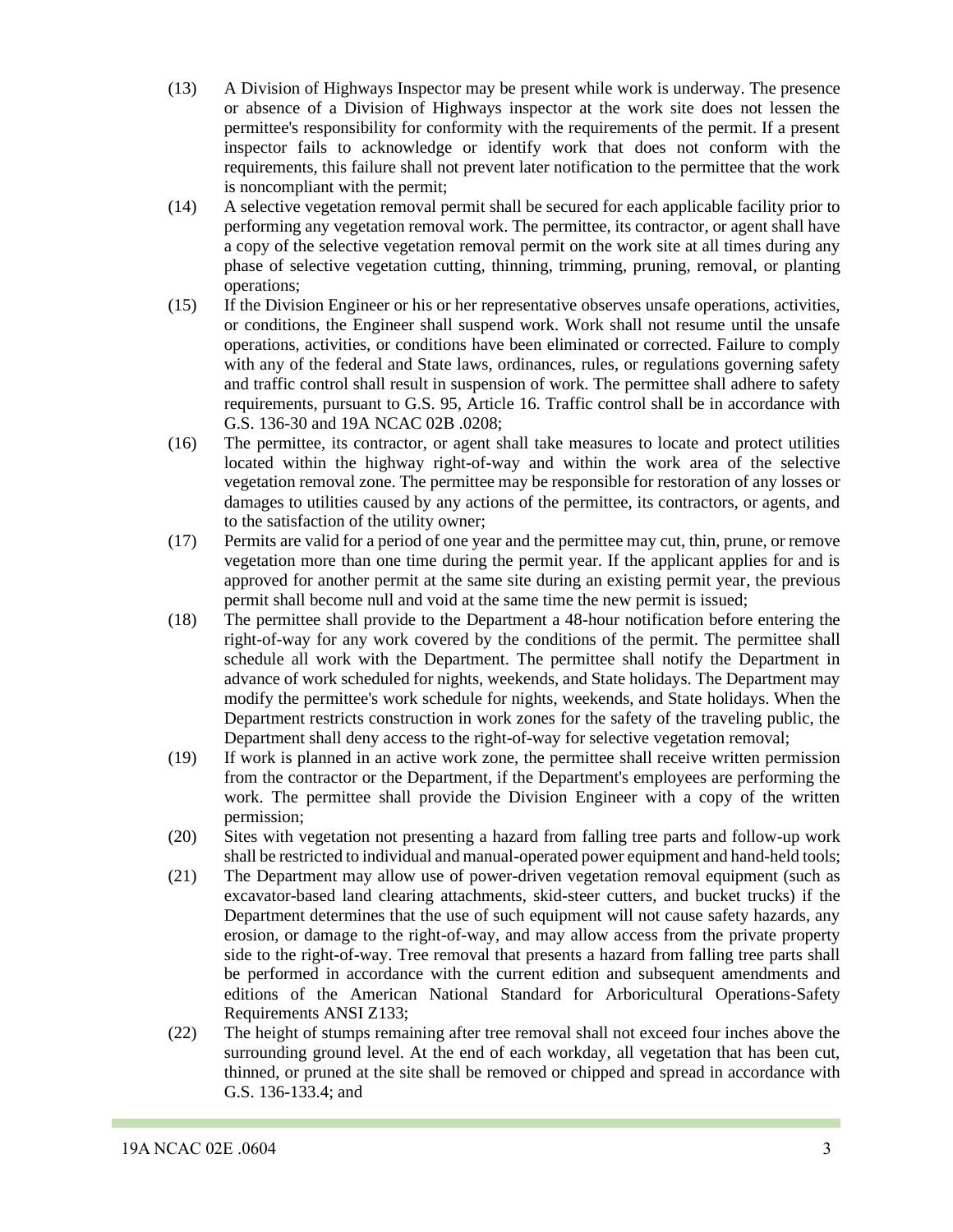- (13) A Division of Highways Inspector may be present while work is underway. The presence or absence of a Division of Highways inspector at the work site does not lessen the permittee's responsibility for conformity with the requirements of the permit. If a present inspector fails to acknowledge or identify work that does not conform with the requirements, this failure shall not prevent later notification to the permittee that the work is noncompliant with the permit;
- (14) A selective vegetation removal permit shall be secured for each applicable facility prior to performing any vegetation removal work. The permittee, its contractor, or agent shall have a copy of the selective vegetation removal permit on the work site at all times during any phase of selective vegetation cutting, thinning, trimming, pruning, removal, or planting operations;
- (15) If the Division Engineer or his or her representative observes unsafe operations, activities, or conditions, the Engineer shall suspend work. Work shall not resume until the unsafe operations, activities, or conditions have been eliminated or corrected. Failure to comply with any of the federal and State laws, ordinances, rules, or regulations governing safety and traffic control shall result in suspension of work. The permittee shall adhere to safety requirements, pursuant to G.S. 95, Article 16. Traffic control shall be in accordance with G.S. 136-30 and 19A NCAC 02B .0208;
- (16) The permittee, its contractor, or agent shall take measures to locate and protect utilities located within the highway right-of-way and within the work area of the selective vegetation removal zone. The permittee may be responsible for restoration of any losses or damages to utilities caused by any actions of the permittee, its contractors, or agents, and to the satisfaction of the utility owner;
- (17) Permits are valid for a period of one year and the permittee may cut, thin, prune, or remove vegetation more than one time during the permit year. If the applicant applies for and is approved for another permit at the same site during an existing permit year, the previous permit shall become null and void at the same time the new permit is issued;
- (18) The permittee shall provide to the Department a 48-hour notification before entering the right-of-way for any work covered by the conditions of the permit. The permittee shall schedule all work with the Department. The permittee shall notify the Department in advance of work scheduled for nights, weekends, and State holidays. The Department may modify the permittee's work schedule for nights, weekends, and State holidays. When the Department restricts construction in work zones for the safety of the traveling public, the Department shall deny access to the right-of-way for selective vegetation removal;
- (19) If work is planned in an active work zone, the permittee shall receive written permission from the contractor or the Department, if the Department's employees are performing the work. The permittee shall provide the Division Engineer with a copy of the written permission;
- (20) Sites with vegetation not presenting a hazard from falling tree parts and follow-up work shall be restricted to individual and manual-operated power equipment and hand-held tools;
- (21) The Department may allow use of power-driven vegetation removal equipment (such as excavator-based land clearing attachments, skid-steer cutters, and bucket trucks) if the Department determines that the use of such equipment will not cause safety hazards, any erosion, or damage to the right-of-way, and may allow access from the private property side to the right-of-way. Tree removal that presents a hazard from falling tree parts shall be performed in accordance with the current edition and subsequent amendments and editions of the American National Standard for Arboricultural Operations-Safety Requirements ANSI Z133;
- (22) The height of stumps remaining after tree removal shall not exceed four inches above the surrounding ground level. At the end of each workday, all vegetation that has been cut, thinned, or pruned at the site shall be removed or chipped and spread in accordance with G.S. 136-133.4; and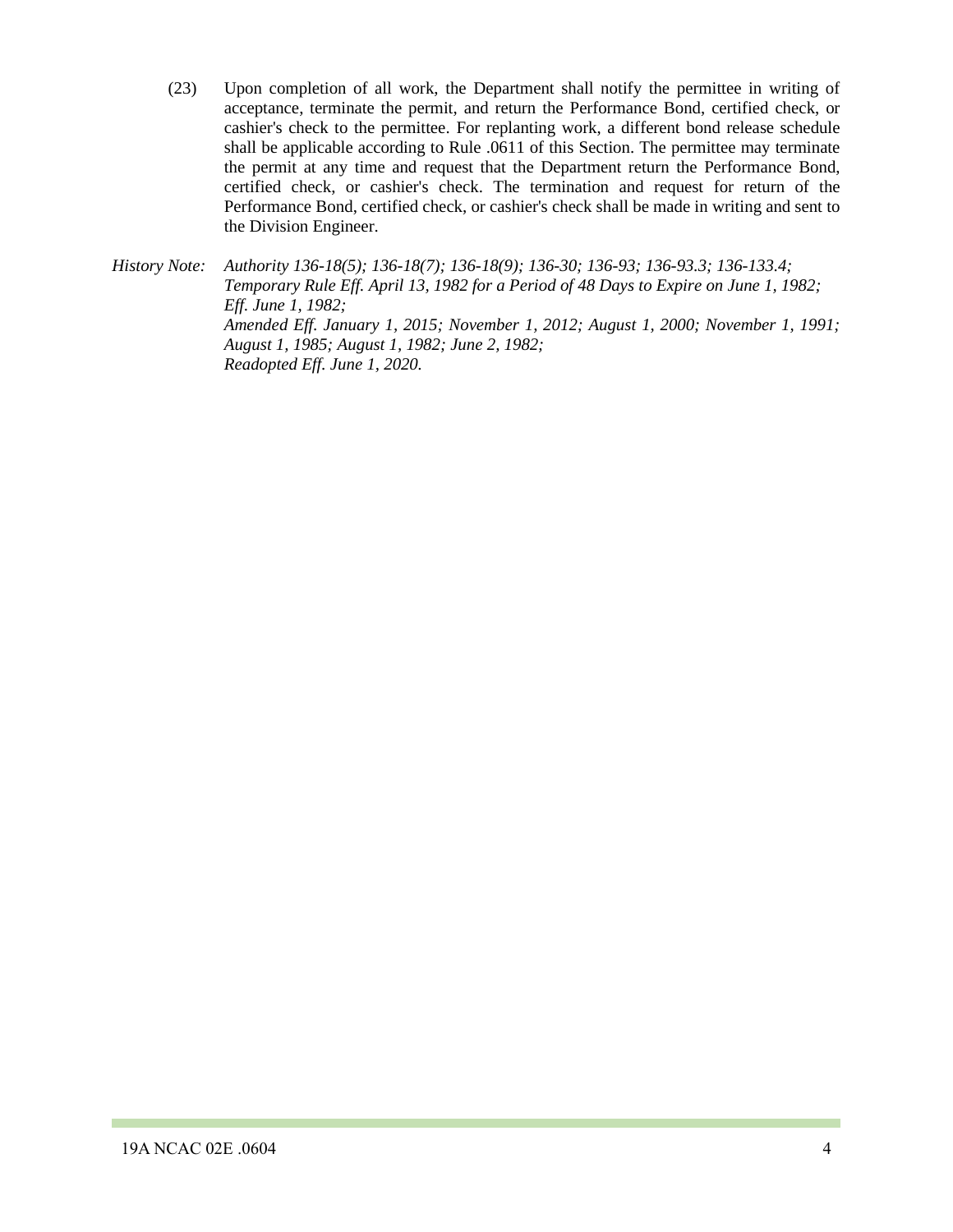(23) Upon completion of all work, the Department shall notify the permittee in writing of acceptance, terminate the permit, and return the Performance Bond, certified check, or cashier's check to the permittee. For replanting work, a different bond release schedule shall be applicable according to Rule .0611 of this Section. The permittee may terminate the permit at any time and request that the Department return the Performance Bond, certified check, or cashier's check. The termination and request for return of the Performance Bond, certified check, or cashier's check shall be made in writing and sent to the Division Engineer.

*History Note: Authority 136-18(5); 136-18(7); 136-18(9); 136-30; 136-93; 136-93.3; 136-133.4; Temporary Rule Eff. April 13, 1982 for a Period of 48 Days to Expire on June 1, 1982; Eff. June 1, 1982; Amended Eff. January 1, 2015; November 1, 2012; August 1, 2000; November 1, 1991; August 1, 1985; August 1, 1982; June 2, 1982; Readopted Eff. June 1, 2020.*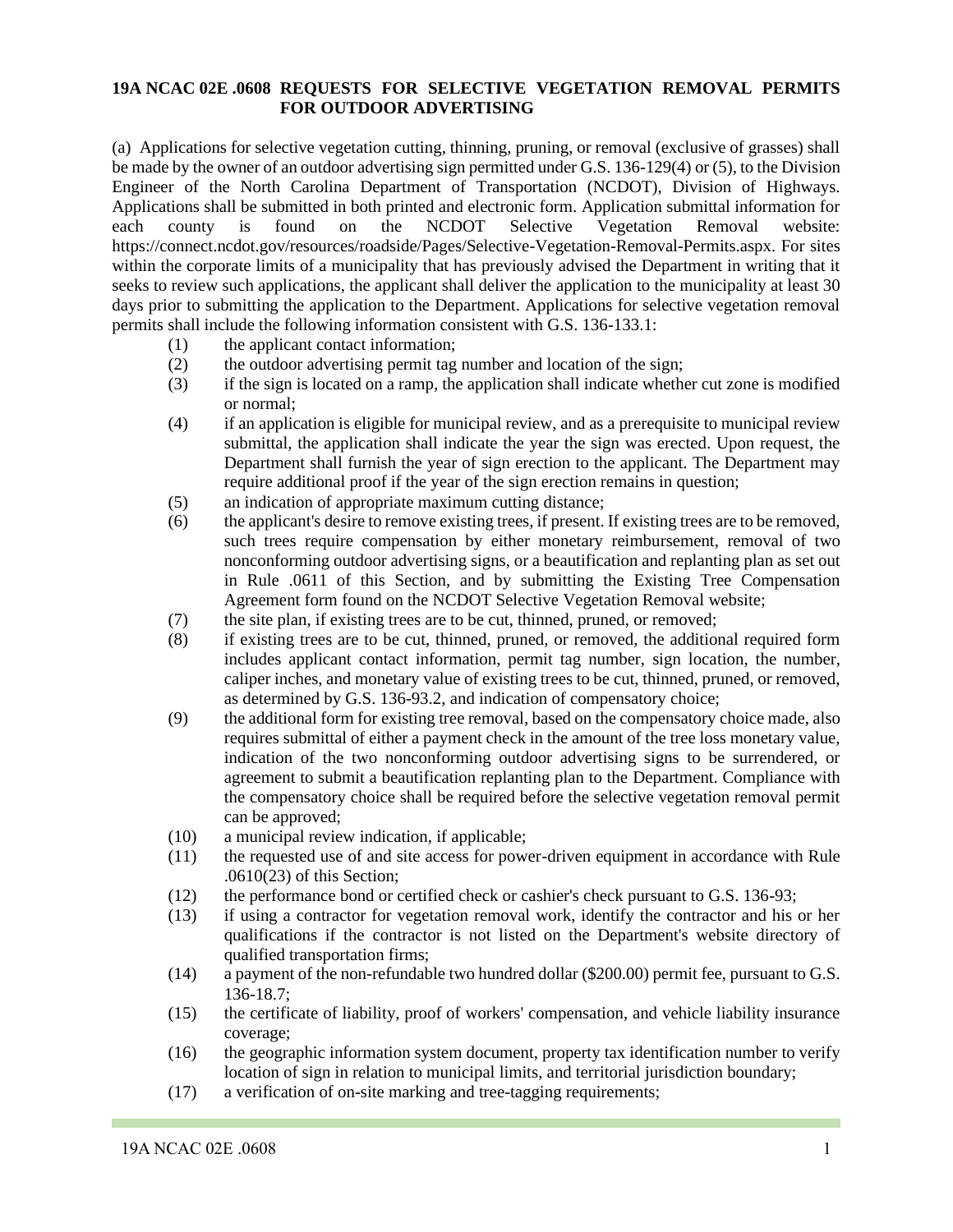### **19A NCAC 02E .0608 REQUESTS FOR SELECTIVE VEGETATION REMOVAL PERMITS FOR OUTDOOR ADVERTISING**

(a) Applications for selective vegetation cutting, thinning, pruning, or removal (exclusive of grasses) shall be made by the owner of an outdoor advertising sign permitted under G.S. 136-129(4) or (5), to the Division Engineer of the North Carolina Department of Transportation (NCDOT), Division of Highways. Applications shall be submitted in both printed and electronic form. Application submittal information for each county is found on the NCDOT Selective Vegetation Removal website: https://connect.ncdot.gov/resources/roadside/Pages/Selective-Vegetation-Removal-Permits.aspx. For sites within the corporate limits of a municipality that has previously advised the Department in writing that it seeks to review such applications, the applicant shall deliver the application to the municipality at least 30 days prior to submitting the application to the Department. Applications for selective vegetation removal permits shall include the following information consistent with G.S. 136-133.1:

- (1) the applicant contact information;
- (2) the outdoor advertising permit tag number and location of the sign;
- (3) if the sign is located on a ramp, the application shall indicate whether cut zone is modified or normal;
- (4) if an application is eligible for municipal review, and as a prerequisite to municipal review submittal, the application shall indicate the year the sign was erected. Upon request, the Department shall furnish the year of sign erection to the applicant. The Department may require additional proof if the year of the sign erection remains in question;
- (5) an indication of appropriate maximum cutting distance;
- (6) the applicant's desire to remove existing trees, if present. If existing trees are to be removed, such trees require compensation by either monetary reimbursement, removal of two nonconforming outdoor advertising signs, or a beautification and replanting plan as set out in Rule .0611 of this Section, and by submitting the Existing Tree Compensation Agreement form found on the NCDOT Selective Vegetation Removal website;
- (7) the site plan, if existing trees are to be cut, thinned, pruned, or removed;
- (8) if existing trees are to be cut, thinned, pruned, or removed, the additional required form includes applicant contact information, permit tag number, sign location, the number, caliper inches, and monetary value of existing trees to be cut, thinned, pruned, or removed, as determined by G.S. 136-93.2, and indication of compensatory choice;
- (9) the additional form for existing tree removal, based on the compensatory choice made, also requires submittal of either a payment check in the amount of the tree loss monetary value, indication of the two nonconforming outdoor advertising signs to be surrendered, or agreement to submit a beautification replanting plan to the Department. Compliance with the compensatory choice shall be required before the selective vegetation removal permit can be approved;
- (10) a municipal review indication, if applicable;
- (11) the requested use of and site access for power-driven equipment in accordance with Rule .0610(23) of this Section;
- (12) the performance bond or certified check or cashier's check pursuant to G.S. 136-93;
- (13) if using a contractor for vegetation removal work, identify the contractor and his or her qualifications if the contractor is not listed on the Department's website directory of qualified transportation firms;
- (14) a payment of the non-refundable two hundred dollar (\$200.00) permit fee, pursuant to G.S. 136-18.7;
- (15) the certificate of liability, proof of workers' compensation, and vehicle liability insurance coverage;
- (16) the geographic information system document, property tax identification number to verify location of sign in relation to municipal limits, and territorial jurisdiction boundary;
- (17) a verification of on-site marking and tree-tagging requirements;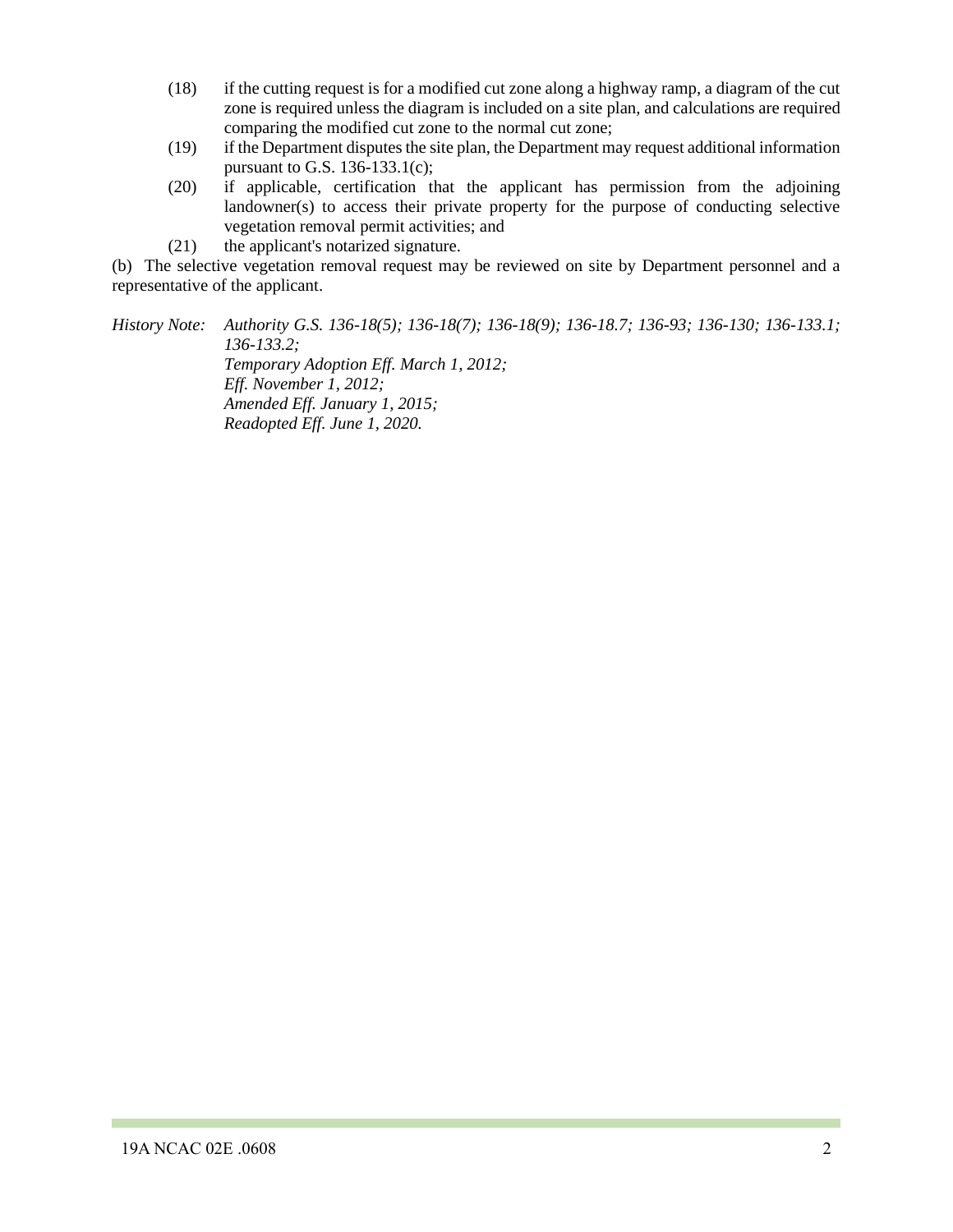- (18) if the cutting request is for a modified cut zone along a highway ramp, a diagram of the cut zone is required unless the diagram is included on a site plan, and calculations are required comparing the modified cut zone to the normal cut zone;
- (19) if the Department disputes the site plan, the Department may request additional information pursuant to G.S. 136-133.1(c);
- (20) if applicable, certification that the applicant has permission from the adjoining landowner(s) to access their private property for the purpose of conducting selective vegetation removal permit activities; and
- (21) the applicant's notarized signature.

(b) The selective vegetation removal request may be reviewed on site by Department personnel and a representative of the applicant.

*History Note: Authority G.S. 136-18(5); 136-18(7); 136-18(9); 136-18.7; 136-93; 136-130; 136-133.1; 136-133.2; Temporary Adoption Eff. March 1, 2012; Eff. November 1, 2012; Amended Eff. January 1, 2015; Readopted Eff. June 1, 2020.*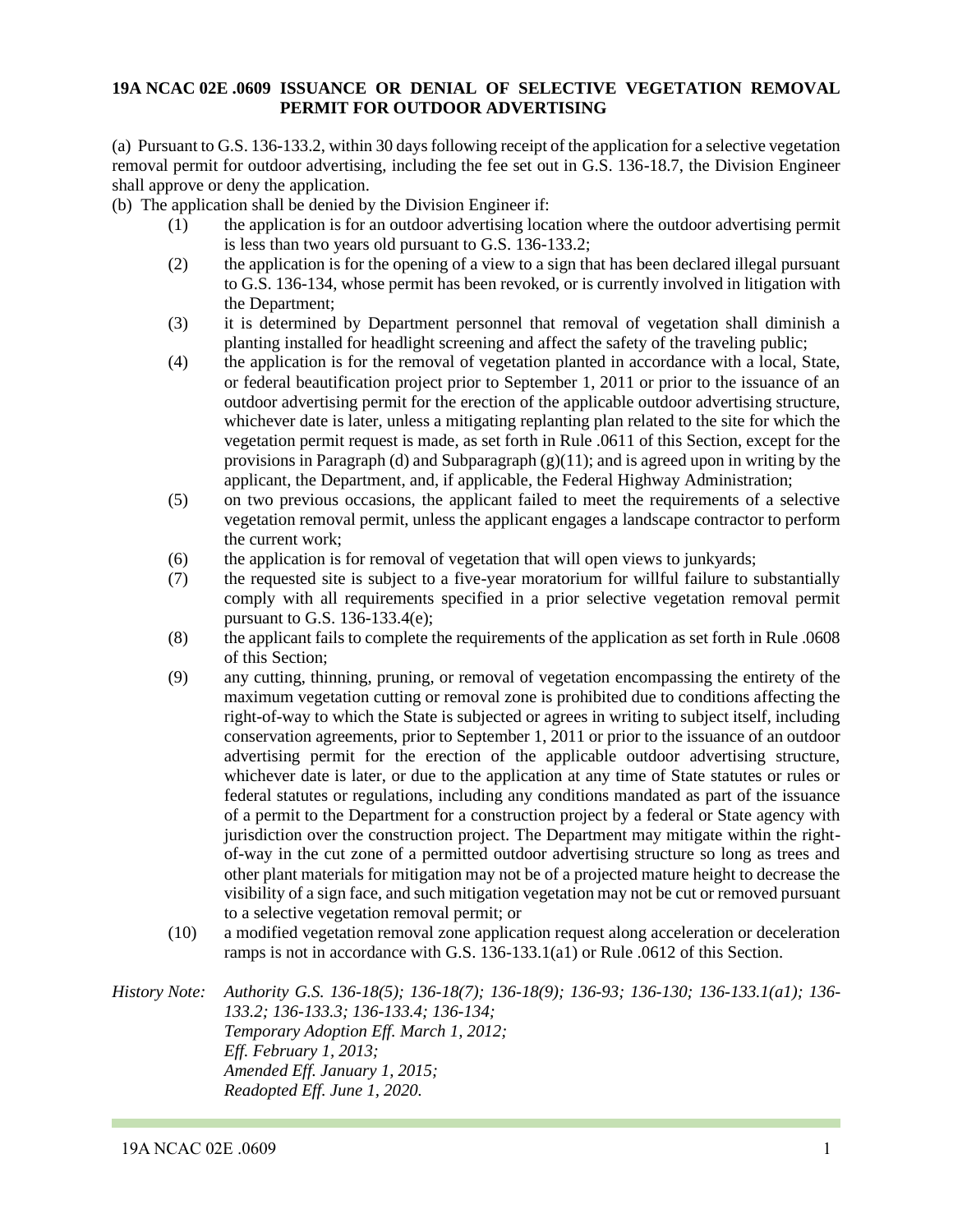#### **19A NCAC 02E .0609 ISSUANCE OR DENIAL OF SELECTIVE VEGETATION REMOVAL PERMIT FOR OUTDOOR ADVERTISING**

(a) Pursuant to G.S. 136-133.2, within 30 days following receipt of the application for a selective vegetation removal permit for outdoor advertising, including the fee set out in G.S. 136-18.7, the Division Engineer shall approve or deny the application.

- (b) The application shall be denied by the Division Engineer if:
	- (1) the application is for an outdoor advertising location where the outdoor advertising permit is less than two years old pursuant to G.S. 136-133.2;
	- (2) the application is for the opening of a view to a sign that has been declared illegal pursuant to G.S. 136-134, whose permit has been revoked, or is currently involved in litigation with the Department;
	- (3) it is determined by Department personnel that removal of vegetation shall diminish a planting installed for headlight screening and affect the safety of the traveling public;
	- (4) the application is for the removal of vegetation planted in accordance with a local, State, or federal beautification project prior to September 1, 2011 or prior to the issuance of an outdoor advertising permit for the erection of the applicable outdoor advertising structure, whichever date is later, unless a mitigating replanting plan related to the site for which the vegetation permit request is made, as set forth in Rule .0611 of this Section, except for the provisions in Paragraph (d) and Subparagraph  $(g)(11)$ ; and is agreed upon in writing by the applicant, the Department, and, if applicable, the Federal Highway Administration;
	- (5) on two previous occasions, the applicant failed to meet the requirements of a selective vegetation removal permit, unless the applicant engages a landscape contractor to perform the current work;
	- (6) the application is for removal of vegetation that will open views to junkyards;
	- (7) the requested site is subject to a five-year moratorium for willful failure to substantially comply with all requirements specified in a prior selective vegetation removal permit pursuant to G.S. 136-133.4(e);
	- (8) the applicant fails to complete the requirements of the application as set forth in Rule .0608 of this Section;
	- (9) any cutting, thinning, pruning, or removal of vegetation encompassing the entirety of the maximum vegetation cutting or removal zone is prohibited due to conditions affecting the right-of-way to which the State is subjected or agrees in writing to subject itself, including conservation agreements, prior to September 1, 2011 or prior to the issuance of an outdoor advertising permit for the erection of the applicable outdoor advertising structure, whichever date is later, or due to the application at any time of State statutes or rules or federal statutes or regulations, including any conditions mandated as part of the issuance of a permit to the Department for a construction project by a federal or State agency with jurisdiction over the construction project. The Department may mitigate within the rightof-way in the cut zone of a permitted outdoor advertising structure so long as trees and other plant materials for mitigation may not be of a projected mature height to decrease the visibility of a sign face, and such mitigation vegetation may not be cut or removed pursuant to a selective vegetation removal permit; or
	- (10) a modified vegetation removal zone application request along acceleration or deceleration ramps is not in accordance with G.S. 136-133.1(a1) or Rule .0612 of this Section.

*History Note: Authority G.S. 136-18(5); 136-18(7); 136-18(9); 136-93; 136-130; 136-133.1(a1); 136- 133.2; 136-133.3; 136-133.4; 136-134; Temporary Adoption Eff. March 1, 2012; Eff. February 1, 2013; Amended Eff. January 1, 2015; Readopted Eff. June 1, 2020.*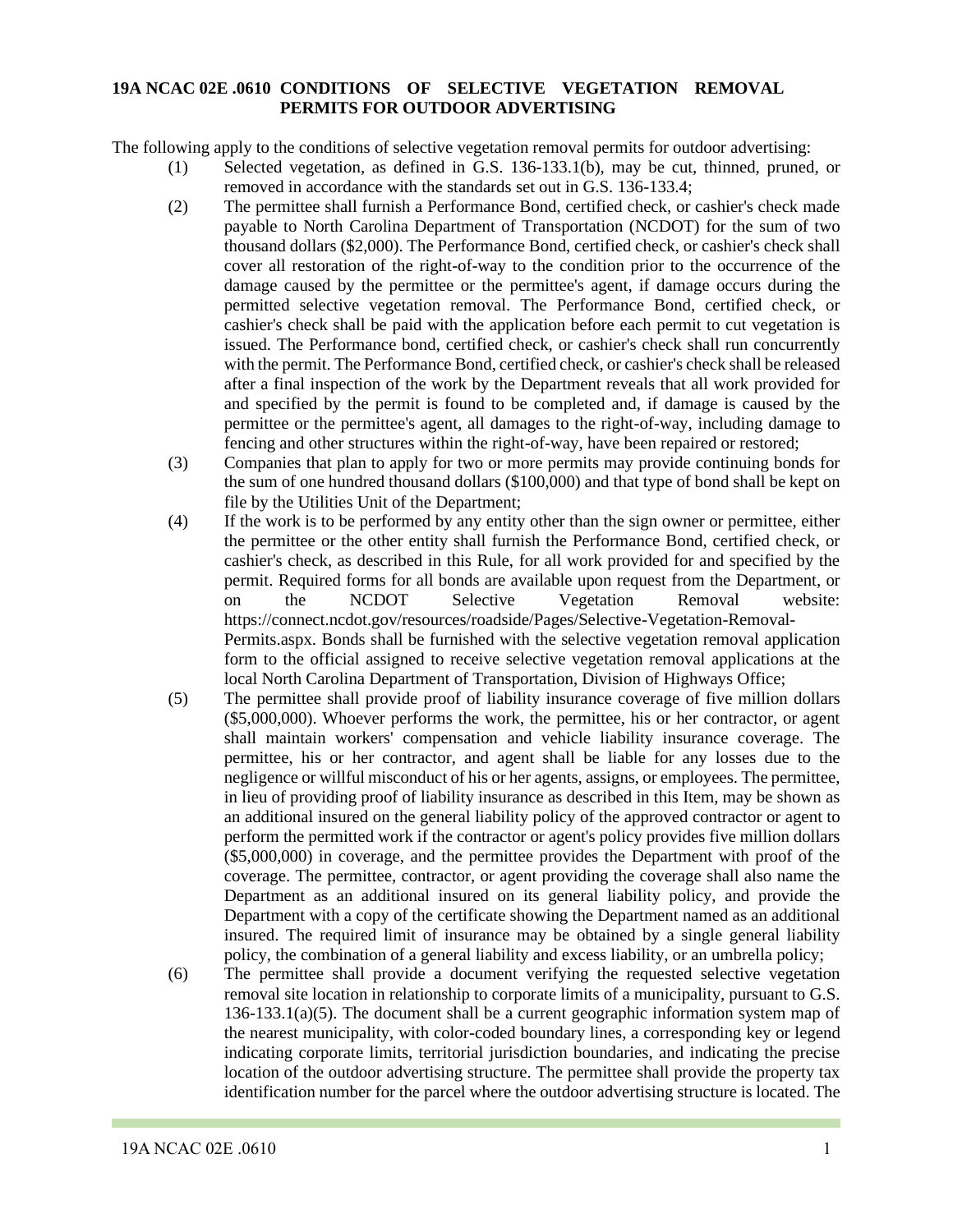### **19A NCAC 02E .0610 CONDITIONS OF SELECTIVE VEGETATION REMOVAL PERMITS FOR OUTDOOR ADVERTISING**

The following apply to the conditions of selective vegetation removal permits for outdoor advertising:

- (1) Selected vegetation, as defined in G.S. 136-133.1(b), may be cut, thinned, pruned, or removed in accordance with the standards set out in G.S. 136-133.4;
- (2) The permittee shall furnish a Performance Bond, certified check, or cashier's check made payable to North Carolina Department of Transportation (NCDOT) for the sum of two thousand dollars (\$2,000). The Performance Bond, certified check, or cashier's check shall cover all restoration of the right-of-way to the condition prior to the occurrence of the damage caused by the permittee or the permittee's agent, if damage occurs during the permitted selective vegetation removal. The Performance Bond, certified check, or cashier's check shall be paid with the application before each permit to cut vegetation is issued. The Performance bond, certified check, or cashier's check shall run concurrently with the permit. The Performance Bond, certified check, or cashier's check shall be released after a final inspection of the work by the Department reveals that all work provided for and specified by the permit is found to be completed and, if damage is caused by the permittee or the permittee's agent, all damages to the right-of-way, including damage to fencing and other structures within the right-of-way, have been repaired or restored;
- (3) Companies that plan to apply for two or more permits may provide continuing bonds for the sum of one hundred thousand dollars (\$100,000) and that type of bond shall be kept on file by the Utilities Unit of the Department;
- (4) If the work is to be performed by any entity other than the sign owner or permittee, either the permittee or the other entity shall furnish the Performance Bond, certified check, or cashier's check, as described in this Rule, for all work provided for and specified by the permit. Required forms for all bonds are available upon request from the Department, or on the NCDOT Selective Vegetation Removal website: https://connect.ncdot.gov/resources/roadside/Pages/Selective-Vegetation-Removal-Permits.aspx. Bonds shall be furnished with the selective vegetation removal application form to the official assigned to receive selective vegetation removal applications at the local North Carolina Department of Transportation, Division of Highways Office;
- (5) The permittee shall provide proof of liability insurance coverage of five million dollars (\$5,000,000). Whoever performs the work, the permittee, his or her contractor, or agent shall maintain workers' compensation and vehicle liability insurance coverage. The permittee, his or her contractor, and agent shall be liable for any losses due to the negligence or willful misconduct of his or her agents, assigns, or employees. The permittee, in lieu of providing proof of liability insurance as described in this Item, may be shown as an additional insured on the general liability policy of the approved contractor or agent to perform the permitted work if the contractor or agent's policy provides five million dollars (\$5,000,000) in coverage, and the permittee provides the Department with proof of the coverage. The permittee, contractor, or agent providing the coverage shall also name the Department as an additional insured on its general liability policy, and provide the Department with a copy of the certificate showing the Department named as an additional insured. The required limit of insurance may be obtained by a single general liability policy, the combination of a general liability and excess liability, or an umbrella policy;
- (6) The permittee shall provide a document verifying the requested selective vegetation removal site location in relationship to corporate limits of a municipality, pursuant to G.S. 136-133.1(a)(5). The document shall be a current geographic information system map of the nearest municipality, with color-coded boundary lines, a corresponding key or legend indicating corporate limits, territorial jurisdiction boundaries, and indicating the precise location of the outdoor advertising structure. The permittee shall provide the property tax identification number for the parcel where the outdoor advertising structure is located. The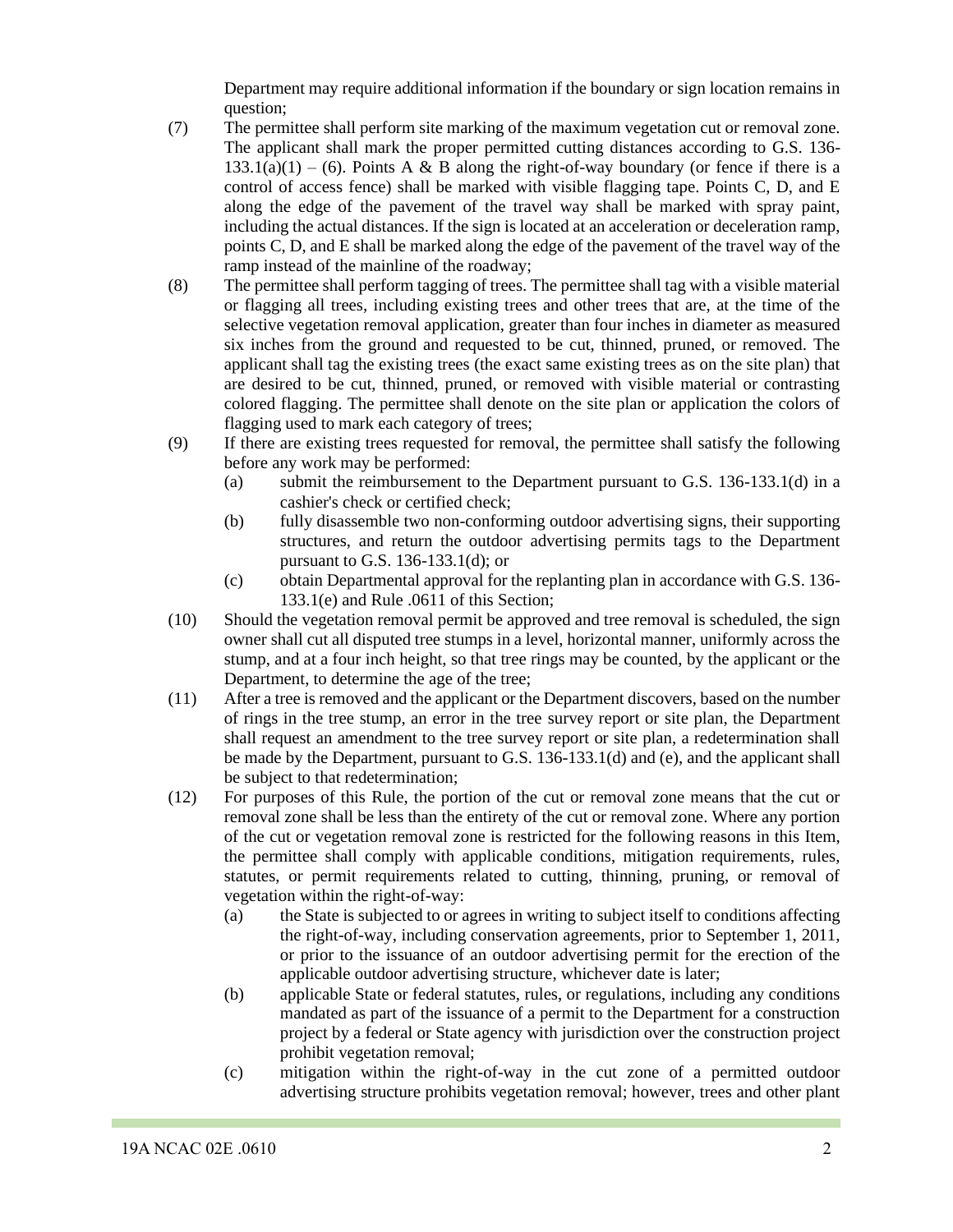Department may require additional information if the boundary or sign location remains in question;

- (7) The permittee shall perform site marking of the maximum vegetation cut or removal zone. The applicant shall mark the proper permitted cutting distances according to G.S. 136-  $133.1(a)(1) - (6)$ . Points A & B along the right-of-way boundary (or fence if there is a control of access fence) shall be marked with visible flagging tape. Points C, D, and E along the edge of the pavement of the travel way shall be marked with spray paint, including the actual distances. If the sign is located at an acceleration or deceleration ramp, points C, D, and E shall be marked along the edge of the pavement of the travel way of the ramp instead of the mainline of the roadway;
- (8) The permittee shall perform tagging of trees. The permittee shall tag with a visible material or flagging all trees, including existing trees and other trees that are, at the time of the selective vegetation removal application, greater than four inches in diameter as measured six inches from the ground and requested to be cut, thinned, pruned, or removed. The applicant shall tag the existing trees (the exact same existing trees as on the site plan) that are desired to be cut, thinned, pruned, or removed with visible material or contrasting colored flagging. The permittee shall denote on the site plan or application the colors of flagging used to mark each category of trees;
- (9) If there are existing trees requested for removal, the permittee shall satisfy the following before any work may be performed:
	- (a) submit the reimbursement to the Department pursuant to G.S. 136-133.1(d) in a cashier's check or certified check;
	- (b) fully disassemble two non-conforming outdoor advertising signs, their supporting structures, and return the outdoor advertising permits tags to the Department pursuant to G.S. 136-133.1(d); or
	- (c) obtain Departmental approval for the replanting plan in accordance with G.S. 136- 133.1(e) and Rule .0611 of this Section;
- (10) Should the vegetation removal permit be approved and tree removal is scheduled, the sign owner shall cut all disputed tree stumps in a level, horizontal manner, uniformly across the stump, and at a four inch height, so that tree rings may be counted, by the applicant or the Department, to determine the age of the tree;
- (11) After a tree is removed and the applicant or the Department discovers, based on the number of rings in the tree stump, an error in the tree survey report or site plan, the Department shall request an amendment to the tree survey report or site plan, a redetermination shall be made by the Department, pursuant to G.S. 136-133.1(d) and (e), and the applicant shall be subject to that redetermination;
- (12) For purposes of this Rule, the portion of the cut or removal zone means that the cut or removal zone shall be less than the entirety of the cut or removal zone. Where any portion of the cut or vegetation removal zone is restricted for the following reasons in this Item, the permittee shall comply with applicable conditions, mitigation requirements, rules, statutes, or permit requirements related to cutting, thinning, pruning, or removal of vegetation within the right-of-way:
	- (a) the State is subjected to or agrees in writing to subject itself to conditions affecting the right-of-way, including conservation agreements, prior to September 1, 2011, or prior to the issuance of an outdoor advertising permit for the erection of the applicable outdoor advertising structure, whichever date is later;
	- (b) applicable State or federal statutes, rules, or regulations, including any conditions mandated as part of the issuance of a permit to the Department for a construction project by a federal or State agency with jurisdiction over the construction project prohibit vegetation removal;
	- (c) mitigation within the right-of-way in the cut zone of a permitted outdoor advertising structure prohibits vegetation removal; however, trees and other plant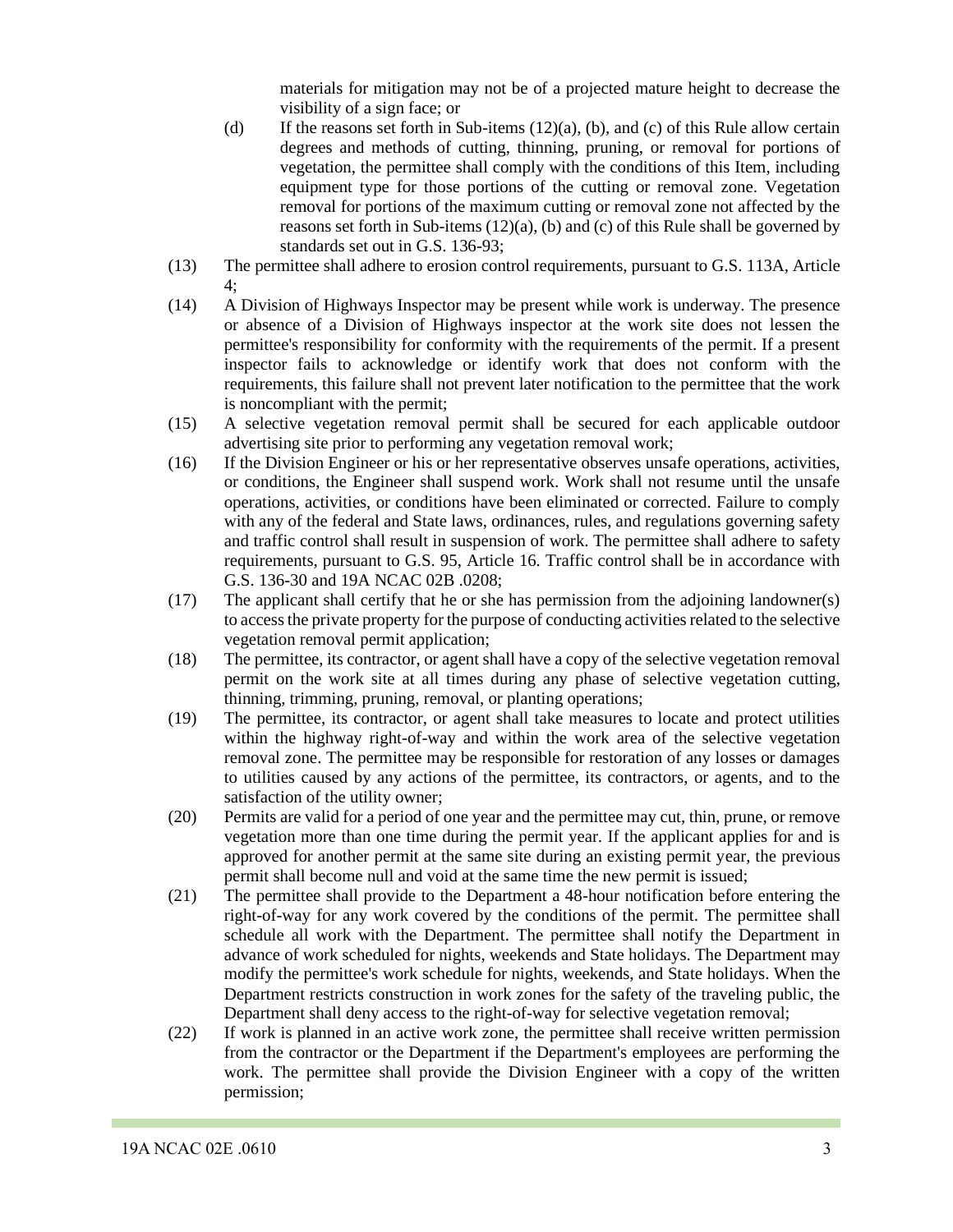materials for mitigation may not be of a projected mature height to decrease the visibility of a sign face; or

- (d) If the reasons set forth in Sub-items (12)(a), (b), and (c) of this Rule allow certain degrees and methods of cutting, thinning, pruning, or removal for portions of vegetation, the permittee shall comply with the conditions of this Item, including equipment type for those portions of the cutting or removal zone. Vegetation removal for portions of the maximum cutting or removal zone not affected by the reasons set forth in Sub-items  $(12)(a)$ , (b) and (c) of this Rule shall be governed by standards set out in G.S. 136-93;
- (13) The permittee shall adhere to erosion control requirements, pursuant to G.S. 113A, Article 4;
- (14) A Division of Highways Inspector may be present while work is underway. The presence or absence of a Division of Highways inspector at the work site does not lessen the permittee's responsibility for conformity with the requirements of the permit. If a present inspector fails to acknowledge or identify work that does not conform with the requirements, this failure shall not prevent later notification to the permittee that the work is noncompliant with the permit;
- (15) A selective vegetation removal permit shall be secured for each applicable outdoor advertising site prior to performing any vegetation removal work;
- (16) If the Division Engineer or his or her representative observes unsafe operations, activities, or conditions, the Engineer shall suspend work. Work shall not resume until the unsafe operations, activities, or conditions have been eliminated or corrected. Failure to comply with any of the federal and State laws, ordinances, rules, and regulations governing safety and traffic control shall result in suspension of work. The permittee shall adhere to safety requirements, pursuant to G.S. 95, Article 16. Traffic control shall be in accordance with G.S. 136-30 and 19A NCAC 02B .0208;
- (17) The applicant shall certify that he or she has permission from the adjoining landowner(s) to access the private property for the purpose of conducting activities related to the selective vegetation removal permit application;
- (18) The permittee, its contractor, or agent shall have a copy of the selective vegetation removal permit on the work site at all times during any phase of selective vegetation cutting, thinning, trimming, pruning, removal, or planting operations;
- (19) The permittee, its contractor, or agent shall take measures to locate and protect utilities within the highway right-of-way and within the work area of the selective vegetation removal zone. The permittee may be responsible for restoration of any losses or damages to utilities caused by any actions of the permittee, its contractors, or agents, and to the satisfaction of the utility owner;
- (20) Permits are valid for a period of one year and the permittee may cut, thin, prune, or remove vegetation more than one time during the permit year. If the applicant applies for and is approved for another permit at the same site during an existing permit year, the previous permit shall become null and void at the same time the new permit is issued;
- (21) The permittee shall provide to the Department a 48-hour notification before entering the right-of-way for any work covered by the conditions of the permit. The permittee shall schedule all work with the Department. The permittee shall notify the Department in advance of work scheduled for nights, weekends and State holidays. The Department may modify the permittee's work schedule for nights, weekends, and State holidays. When the Department restricts construction in work zones for the safety of the traveling public, the Department shall deny access to the right-of-way for selective vegetation removal;
- (22) If work is planned in an active work zone, the permittee shall receive written permission from the contractor or the Department if the Department's employees are performing the work. The permittee shall provide the Division Engineer with a copy of the written permission;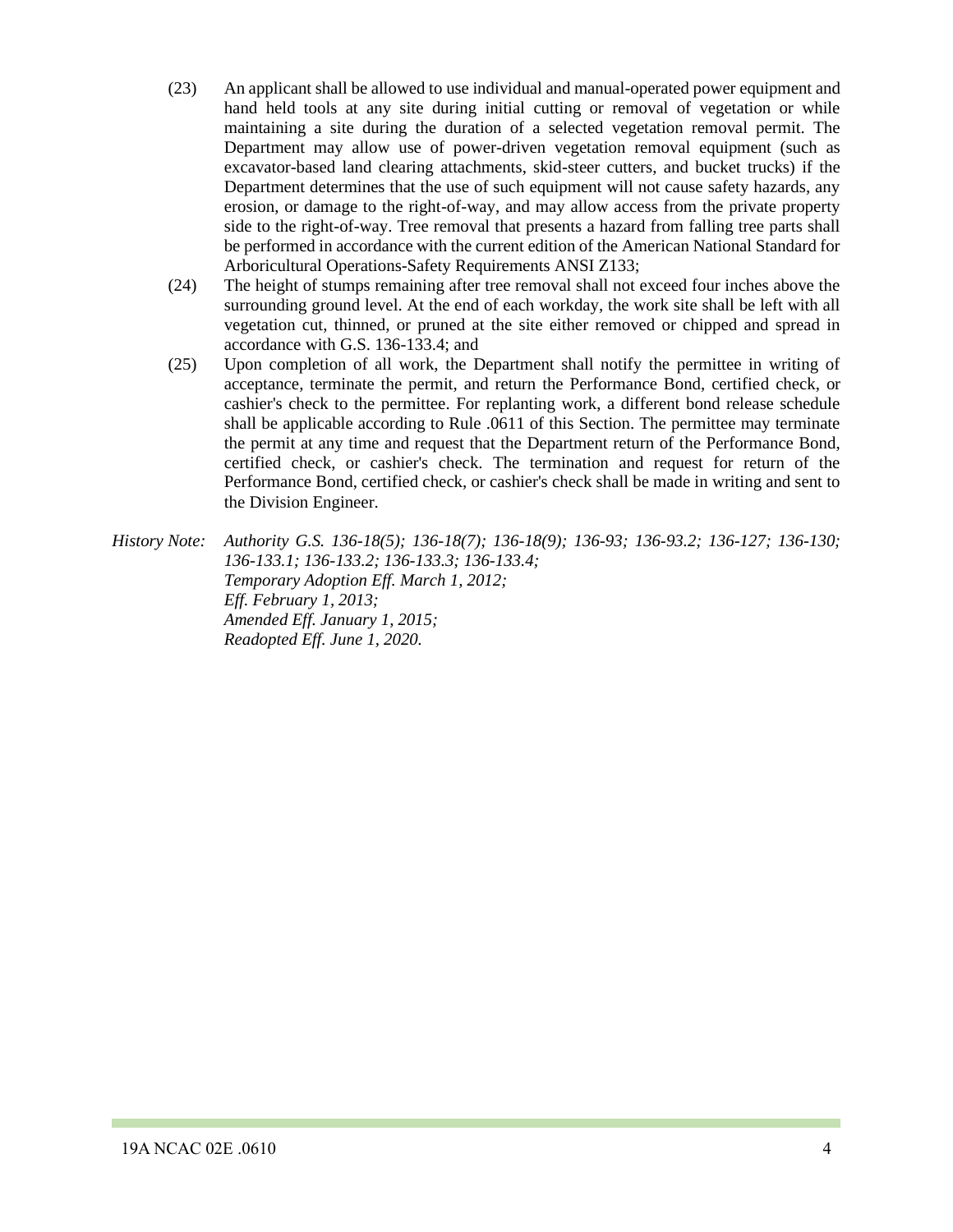- (23) An applicant shall be allowed to use individual and manual-operated power equipment and hand held tools at any site during initial cutting or removal of vegetation or while maintaining a site during the duration of a selected vegetation removal permit. The Department may allow use of power-driven vegetation removal equipment (such as excavator-based land clearing attachments, skid-steer cutters, and bucket trucks) if the Department determines that the use of such equipment will not cause safety hazards, any erosion, or damage to the right-of-way, and may allow access from the private property side to the right-of-way. Tree removal that presents a hazard from falling tree parts shall be performed in accordance with the current edition of the American National Standard for Arboricultural Operations-Safety Requirements ANSI Z133;
- (24) The height of stumps remaining after tree removal shall not exceed four inches above the surrounding ground level. At the end of each workday, the work site shall be left with all vegetation cut, thinned, or pruned at the site either removed or chipped and spread in accordance with G.S. 136-133.4; and
- (25) Upon completion of all work, the Department shall notify the permittee in writing of acceptance, terminate the permit, and return the Performance Bond, certified check, or cashier's check to the permittee. For replanting work, a different bond release schedule shall be applicable according to Rule .0611 of this Section. The permittee may terminate the permit at any time and request that the Department return of the Performance Bond, certified check, or cashier's check. The termination and request for return of the Performance Bond, certified check, or cashier's check shall be made in writing and sent to the Division Engineer.
- *History Note: Authority G.S. 136-18(5); 136-18(7); 136-18(9); 136-93; 136-93.2; 136-127; 136-130; 136-133.1; 136-133.2; 136-133.3; 136-133.4; Temporary Adoption Eff. March 1, 2012; Eff. February 1, 2013; Amended Eff. January 1, 2015; Readopted Eff. June 1, 2020.*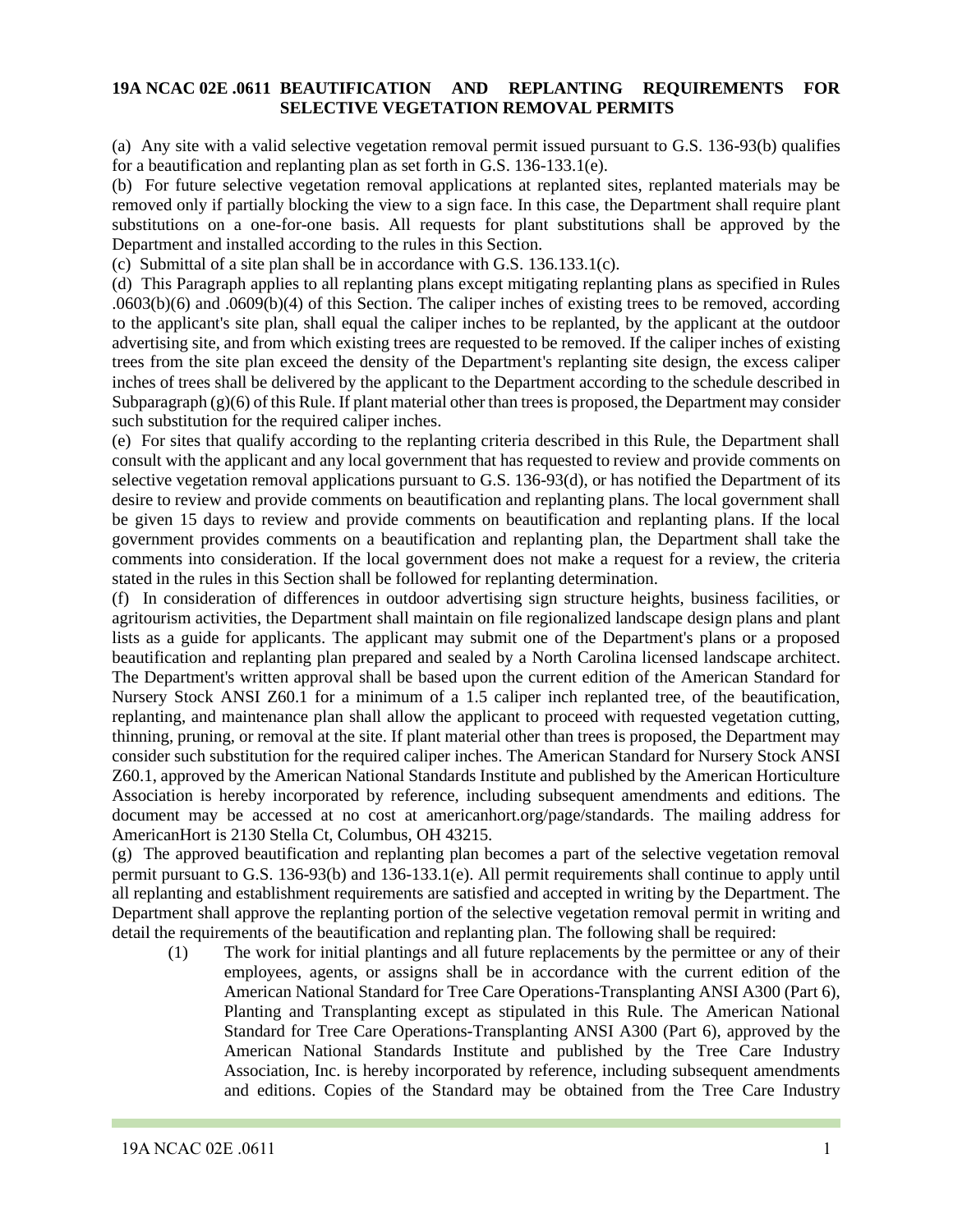## **19A NCAC 02E .0611 BEAUTIFICATION AND REPLANTING REQUIREMENTS FOR SELECTIVE VEGETATION REMOVAL PERMITS**

(a) Any site with a valid selective vegetation removal permit issued pursuant to G.S. 136-93(b) qualifies for a beautification and replanting plan as set forth in G.S. 136-133.1(e).

(b) For future selective vegetation removal applications at replanted sites, replanted materials may be removed only if partially blocking the view to a sign face. In this case, the Department shall require plant substitutions on a one-for-one basis. All requests for plant substitutions shall be approved by the Department and installed according to the rules in this Section.

(c) Submittal of a site plan shall be in accordance with G.S. 136.133.1(c).

(d) This Paragraph applies to all replanting plans except mitigating replanting plans as specified in Rules .0603(b)(6) and .0609(b)(4) of this Section. The caliper inches of existing trees to be removed, according to the applicant's site plan, shall equal the caliper inches to be replanted, by the applicant at the outdoor advertising site, and from which existing trees are requested to be removed. If the caliper inches of existing trees from the site plan exceed the density of the Department's replanting site design, the excess caliper inches of trees shall be delivered by the applicant to the Department according to the schedule described in Subparagraph (g)(6) of this Rule. If plant material other than trees is proposed, the Department may consider such substitution for the required caliper inches.

(e) For sites that qualify according to the replanting criteria described in this Rule, the Department shall consult with the applicant and any local government that has requested to review and provide comments on selective vegetation removal applications pursuant to G.S. 136-93(d), or has notified the Department of its desire to review and provide comments on beautification and replanting plans. The local government shall be given 15 days to review and provide comments on beautification and replanting plans. If the local government provides comments on a beautification and replanting plan, the Department shall take the comments into consideration. If the local government does not make a request for a review, the criteria stated in the rules in this Section shall be followed for replanting determination.

(f) In consideration of differences in outdoor advertising sign structure heights, business facilities, or agritourism activities, the Department shall maintain on file regionalized landscape design plans and plant lists as a guide for applicants. The applicant may submit one of the Department's plans or a proposed beautification and replanting plan prepared and sealed by a North Carolina licensed landscape architect. The Department's written approval shall be based upon the current edition of the American Standard for Nursery Stock ANSI Z60.1 for a minimum of a 1.5 caliper inch replanted tree, of the beautification, replanting, and maintenance plan shall allow the applicant to proceed with requested vegetation cutting, thinning, pruning, or removal at the site. If plant material other than trees is proposed, the Department may consider such substitution for the required caliper inches. The American Standard for Nursery Stock ANSI Z60.1, approved by the American National Standards Institute and published by the American Horticulture Association is hereby incorporated by reference, including subsequent amendments and editions. The document may be accessed at no cost at americanhort.org/page/standards. The mailing address for AmericanHort is 2130 Stella Ct, Columbus, OH 43215.

(g) The approved beautification and replanting plan becomes a part of the selective vegetation removal permit pursuant to G.S. 136-93(b) and 136-133.1(e). All permit requirements shall continue to apply until all replanting and establishment requirements are satisfied and accepted in writing by the Department. The Department shall approve the replanting portion of the selective vegetation removal permit in writing and detail the requirements of the beautification and replanting plan. The following shall be required:

(1) The work for initial plantings and all future replacements by the permittee or any of their employees, agents, or assigns shall be in accordance with the current edition of the American National Standard for Tree Care Operations-Transplanting ANSI A300 (Part 6), Planting and Transplanting except as stipulated in this Rule. The American National Standard for Tree Care Operations-Transplanting ANSI A300 (Part 6), approved by the American National Standards Institute and published by the Tree Care Industry Association, Inc. is hereby incorporated by reference, including subsequent amendments and editions. Copies of the Standard may be obtained from the Tree Care Industry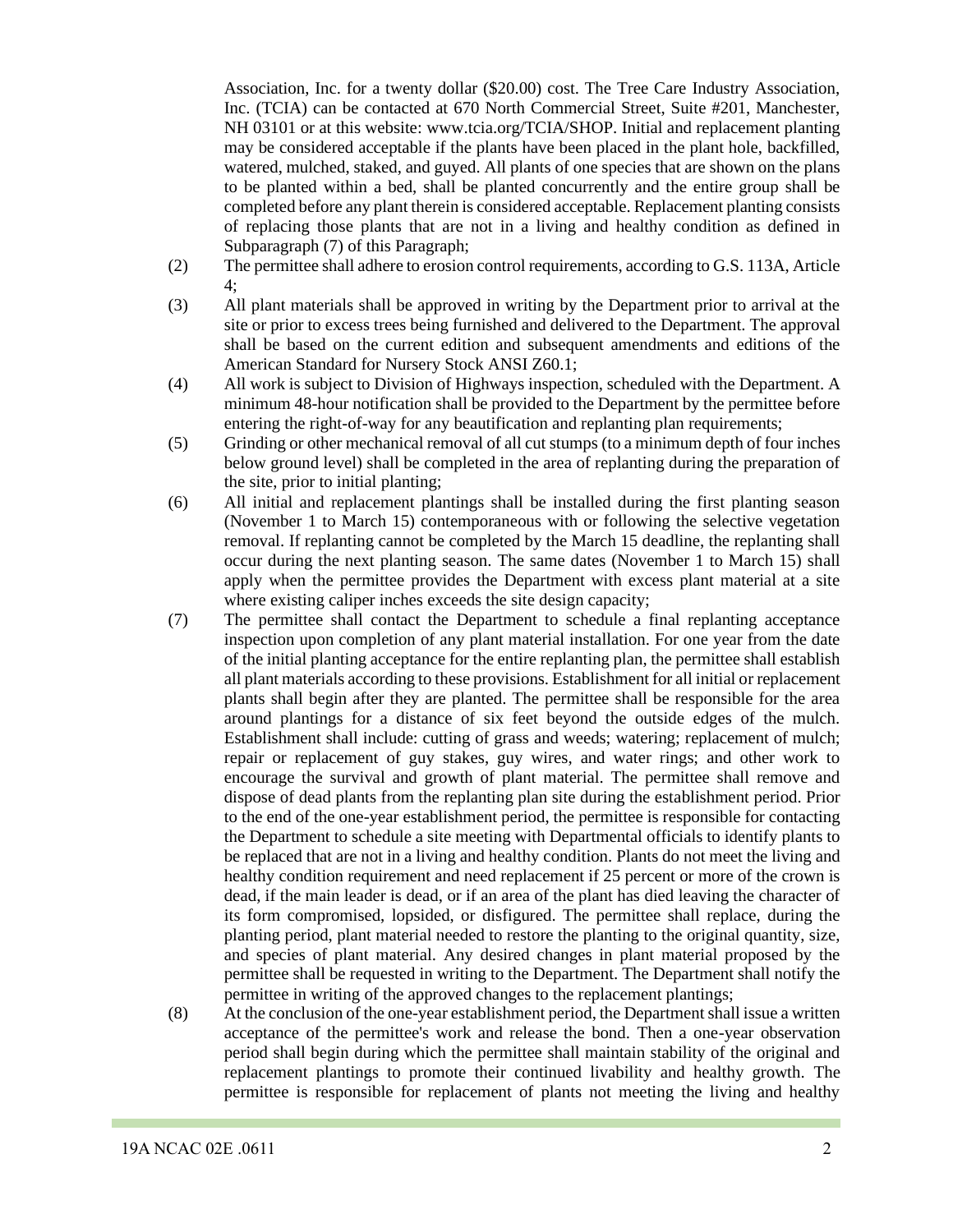Association, Inc. for a twenty dollar (\$20.00) cost. The Tree Care Industry Association, Inc. (TCIA) can be contacted at 670 North Commercial Street, Suite #201, Manchester, NH 03101 or at this website: www.tcia.org/TCIA/SHOP. Initial and replacement planting may be considered acceptable if the plants have been placed in the plant hole, backfilled, watered, mulched, staked, and guyed. All plants of one species that are shown on the plans to be planted within a bed, shall be planted concurrently and the entire group shall be completed before any plant therein is considered acceptable. Replacement planting consists of replacing those plants that are not in a living and healthy condition as defined in Subparagraph (7) of this Paragraph;

- (2) The permittee shall adhere to erosion control requirements, according to G.S. 113A, Article 4;
- (3) All plant materials shall be approved in writing by the Department prior to arrival at the site or prior to excess trees being furnished and delivered to the Department. The approval shall be based on the current edition and subsequent amendments and editions of the American Standard for Nursery Stock ANSI Z60.1;
- (4) All work is subject to Division of Highways inspection, scheduled with the Department. A minimum 48-hour notification shall be provided to the Department by the permittee before entering the right-of-way for any beautification and replanting plan requirements;
- (5) Grinding or other mechanical removal of all cut stumps (to a minimum depth of four inches below ground level) shall be completed in the area of replanting during the preparation of the site, prior to initial planting;
- (6) All initial and replacement plantings shall be installed during the first planting season (November 1 to March 15) contemporaneous with or following the selective vegetation removal. If replanting cannot be completed by the March 15 deadline, the replanting shall occur during the next planting season. The same dates (November 1 to March 15) shall apply when the permittee provides the Department with excess plant material at a site where existing caliper inches exceeds the site design capacity;
- (7) The permittee shall contact the Department to schedule a final replanting acceptance inspection upon completion of any plant material installation. For one year from the date of the initial planting acceptance for the entire replanting plan, the permittee shall establish all plant materials according to these provisions. Establishment for all initial or replacement plants shall begin after they are planted. The permittee shall be responsible for the area around plantings for a distance of six feet beyond the outside edges of the mulch. Establishment shall include: cutting of grass and weeds; watering; replacement of mulch; repair or replacement of guy stakes, guy wires, and water rings; and other work to encourage the survival and growth of plant material. The permittee shall remove and dispose of dead plants from the replanting plan site during the establishment period. Prior to the end of the one-year establishment period, the permittee is responsible for contacting the Department to schedule a site meeting with Departmental officials to identify plants to be replaced that are not in a living and healthy condition. Plants do not meet the living and healthy condition requirement and need replacement if 25 percent or more of the crown is dead, if the main leader is dead, or if an area of the plant has died leaving the character of its form compromised, lopsided, or disfigured. The permittee shall replace, during the planting period, plant material needed to restore the planting to the original quantity, size, and species of plant material. Any desired changes in plant material proposed by the permittee shall be requested in writing to the Department. The Department shall notify the permittee in writing of the approved changes to the replacement plantings;
- (8) At the conclusion of the one-year establishment period, the Department shall issue a written acceptance of the permittee's work and release the bond. Then a one-year observation period shall begin during which the permittee shall maintain stability of the original and replacement plantings to promote their continued livability and healthy growth. The permittee is responsible for replacement of plants not meeting the living and healthy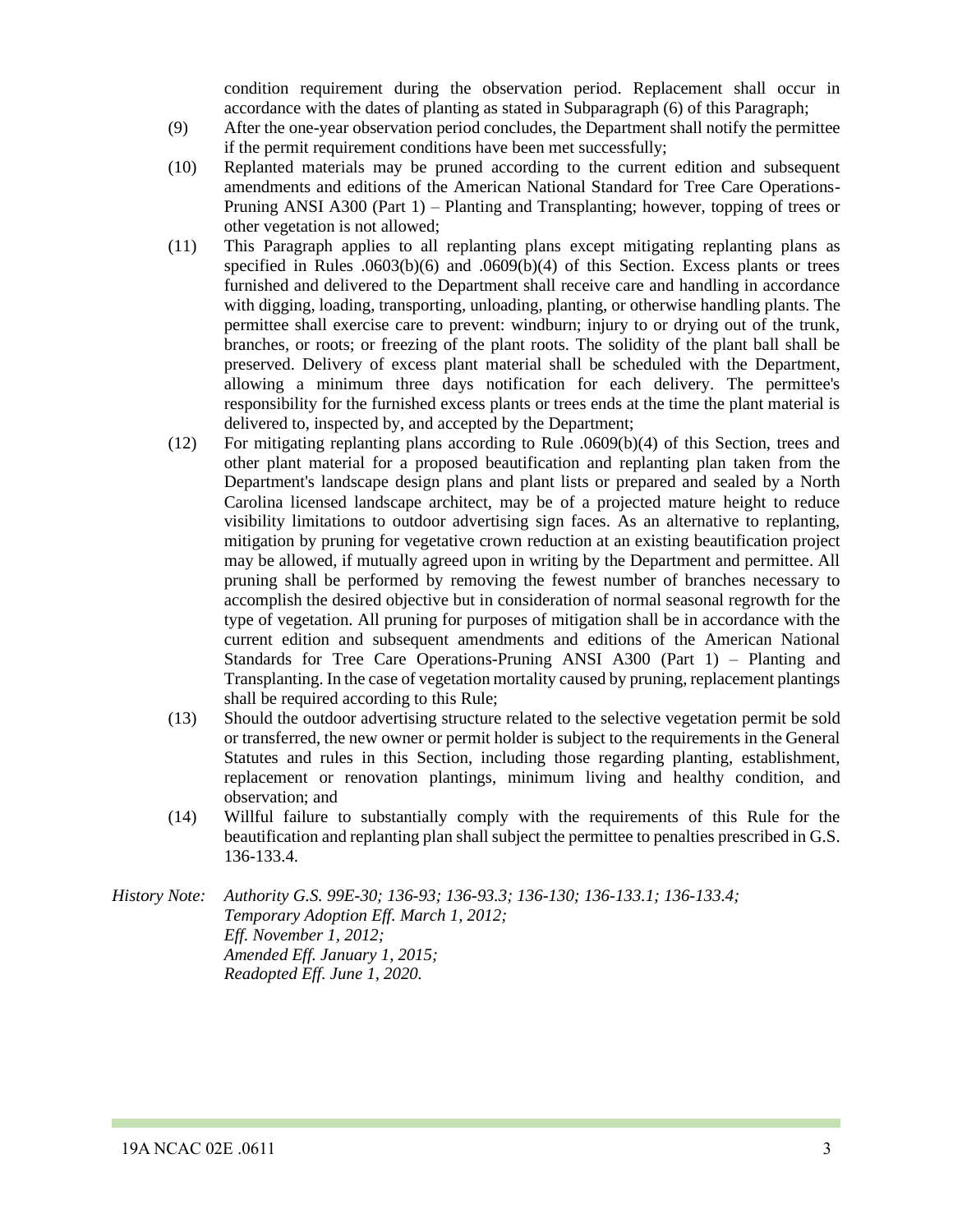condition requirement during the observation period. Replacement shall occur in accordance with the dates of planting as stated in Subparagraph (6) of this Paragraph;

- (9) After the one-year observation period concludes, the Department shall notify the permittee if the permit requirement conditions have been met successfully;
- (10) Replanted materials may be pruned according to the current edition and subsequent amendments and editions of the American National Standard for Tree Care Operations-Pruning ANSI A300 (Part 1) – Planting and Transplanting; however, topping of trees or other vegetation is not allowed;
- (11) This Paragraph applies to all replanting plans except mitigating replanting plans as specified in Rules .0603(b)(6) and .0609(b)(4) of this Section. Excess plants or trees furnished and delivered to the Department shall receive care and handling in accordance with digging, loading, transporting, unloading, planting, or otherwise handling plants. The permittee shall exercise care to prevent: windburn; injury to or drying out of the trunk, branches, or roots; or freezing of the plant roots. The solidity of the plant ball shall be preserved. Delivery of excess plant material shall be scheduled with the Department, allowing a minimum three days notification for each delivery. The permittee's responsibility for the furnished excess plants or trees ends at the time the plant material is delivered to, inspected by, and accepted by the Department;
- (12) For mitigating replanting plans according to Rule .0609(b)(4) of this Section, trees and other plant material for a proposed beautification and replanting plan taken from the Department's landscape design plans and plant lists or prepared and sealed by a North Carolina licensed landscape architect, may be of a projected mature height to reduce visibility limitations to outdoor advertising sign faces. As an alternative to replanting, mitigation by pruning for vegetative crown reduction at an existing beautification project may be allowed, if mutually agreed upon in writing by the Department and permittee. All pruning shall be performed by removing the fewest number of branches necessary to accomplish the desired objective but in consideration of normal seasonal regrowth for the type of vegetation. All pruning for purposes of mitigation shall be in accordance with the current edition and subsequent amendments and editions of the American National Standards for Tree Care Operations-Pruning ANSI A300 (Part 1) – Planting and Transplanting. In the case of vegetation mortality caused by pruning, replacement plantings shall be required according to this Rule;
- (13) Should the outdoor advertising structure related to the selective vegetation permit be sold or transferred, the new owner or permit holder is subject to the requirements in the General Statutes and rules in this Section, including those regarding planting, establishment, replacement or renovation plantings, minimum living and healthy condition, and observation; and
- (14) Willful failure to substantially comply with the requirements of this Rule for the beautification and replanting plan shall subject the permittee to penalties prescribed in G.S. 136-133.4.

*History Note: Authority G.S. 99E-30; 136-93; 136-93.3; 136-130; 136-133.1; 136-133.4; Temporary Adoption Eff. March 1, 2012; Eff. November 1, 2012; Amended Eff. January 1, 2015; Readopted Eff. June 1, 2020.*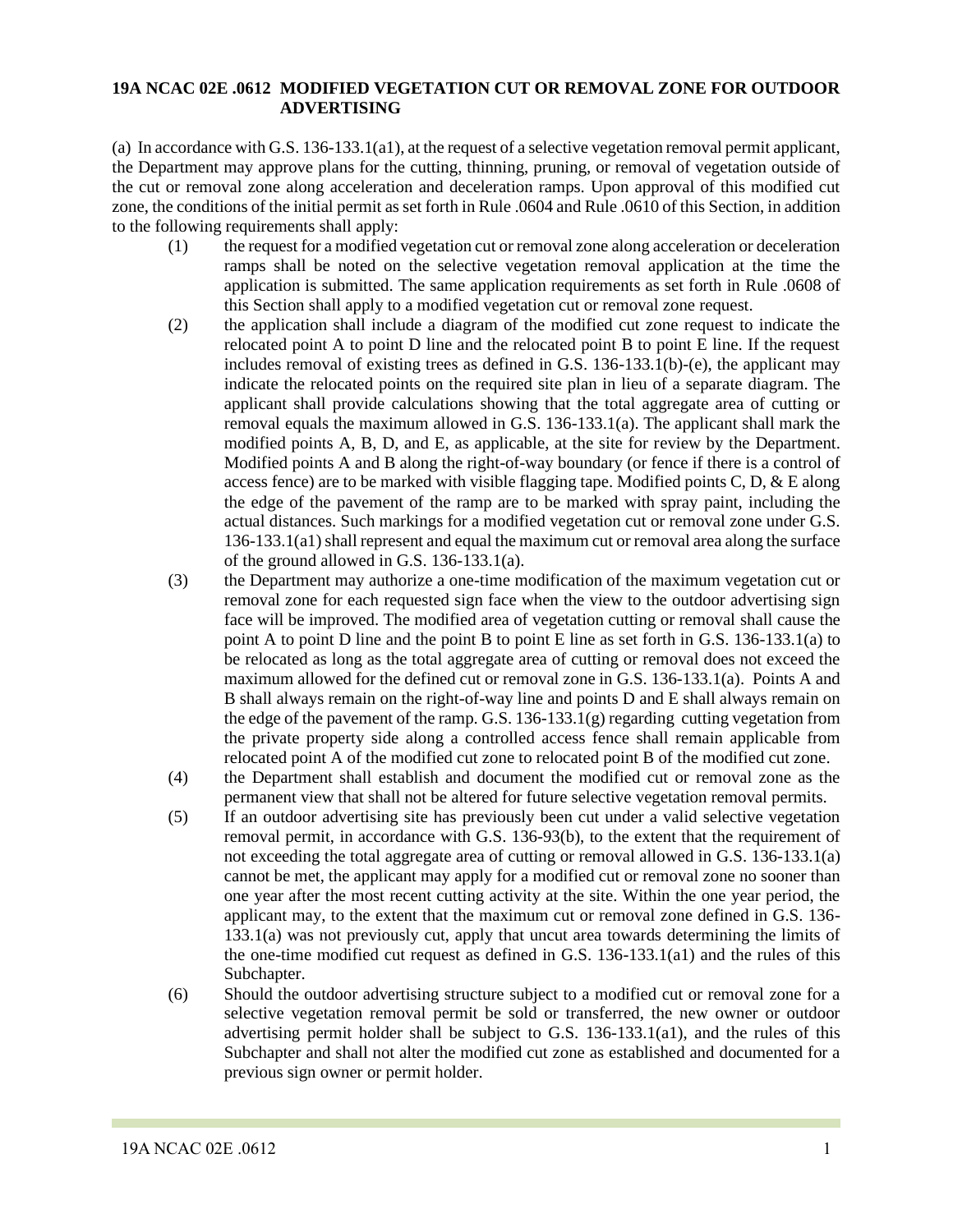#### **19A NCAC 02E .0612 MODIFIED VEGETATION CUT OR REMOVAL ZONE FOR OUTDOOR ADVERTISING**

(a) In accordance with G.S. 136-133.1(a1), at the request of a selective vegetation removal permit applicant, the Department may approve plans for the cutting, thinning, pruning, or removal of vegetation outside of the cut or removal zone along acceleration and deceleration ramps. Upon approval of this modified cut zone, the conditions of the initial permit as set forth in Rule .0604 and Rule .0610 of this Section, in addition to the following requirements shall apply:

- (1) the request for a modified vegetation cut or removal zone along acceleration or deceleration ramps shall be noted on the selective vegetation removal application at the time the application is submitted. The same application requirements as set forth in Rule .0608 of this Section shall apply to a modified vegetation cut or removal zone request.
- (2) the application shall include a diagram of the modified cut zone request to indicate the relocated point A to point D line and the relocated point B to point E line. If the request includes removal of existing trees as defined in G.S. 136-133.1(b)-(e), the applicant may indicate the relocated points on the required site plan in lieu of a separate diagram. The applicant shall provide calculations showing that the total aggregate area of cutting or removal equals the maximum allowed in G.S. 136-133.1(a). The applicant shall mark the modified points A, B, D, and E, as applicable, at the site for review by the Department. Modified points A and B along the right-of-way boundary (or fence if there is a control of access fence) are to be marked with visible flagging tape. Modified points C, D,  $\&$  E along the edge of the pavement of the ramp are to be marked with spray paint, including the actual distances. Such markings for a modified vegetation cut or removal zone under G.S. 136-133.1(a1) shall represent and equal the maximum cut or removal area along the surface of the ground allowed in G.S. 136-133.1(a).
- (3) the Department may authorize a one-time modification of the maximum vegetation cut or removal zone for each requested sign face when the view to the outdoor advertising sign face will be improved. The modified area of vegetation cutting or removal shall cause the point A to point D line and the point B to point E line as set forth in G.S. 136-133.1(a) to be relocated as long as the total aggregate area of cutting or removal does not exceed the maximum allowed for the defined cut or removal zone in G.S. 136-133.1(a). Points A and B shall always remain on the right-of-way line and points D and E shall always remain on the edge of the pavement of the ramp. G.S. 136-133.1(g) regarding cutting vegetation from the private property side along a controlled access fence shall remain applicable from relocated point A of the modified cut zone to relocated point B of the modified cut zone.
- (4) the Department shall establish and document the modified cut or removal zone as the permanent view that shall not be altered for future selective vegetation removal permits.
- (5) If an outdoor advertising site has previously been cut under a valid selective vegetation removal permit, in accordance with G.S. 136-93(b), to the extent that the requirement of not exceeding the total aggregate area of cutting or removal allowed in G.S. 136-133.1(a) cannot be met, the applicant may apply for a modified cut or removal zone no sooner than one year after the most recent cutting activity at the site. Within the one year period, the applicant may, to the extent that the maximum cut or removal zone defined in G.S. 136- 133.1(a) was not previously cut, apply that uncut area towards determining the limits of the one-time modified cut request as defined in G.S. 136-133.1(a1) and the rules of this Subchapter.
- (6) Should the outdoor advertising structure subject to a modified cut or removal zone for a selective vegetation removal permit be sold or transferred, the new owner or outdoor advertising permit holder shall be subject to G.S. 136-133.1(a1), and the rules of this Subchapter and shall not alter the modified cut zone as established and documented for a previous sign owner or permit holder.